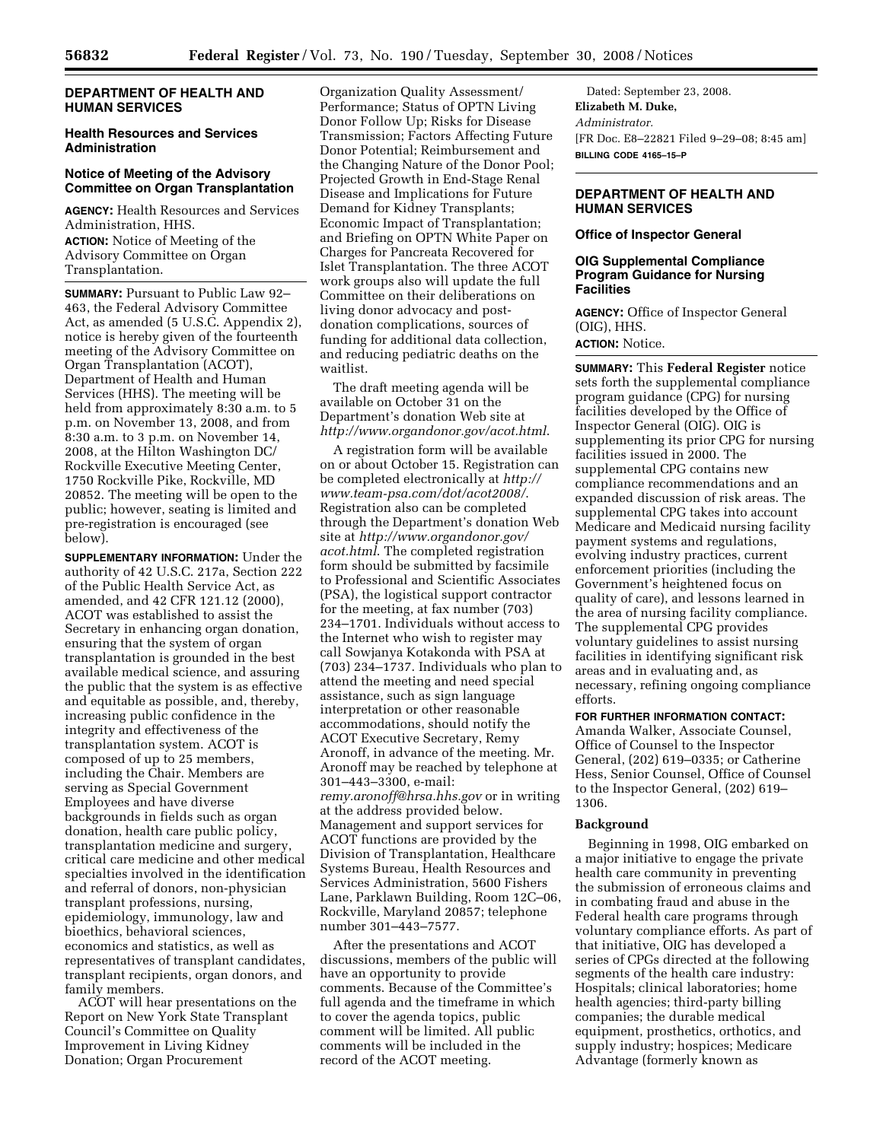## **DEPARTMENT OF HEALTH AND HUMAN SERVICES**

## **Health Resources and Services Administration**

## **Notice of Meeting of the Advisory Committee on Organ Transplantation**

**AGENCY:** Health Resources and Services Administration, HHS. **ACTION:** Notice of Meeting of the Advisory Committee on Organ Transplantation.

**SUMMARY:** Pursuant to Public Law 92– 463, the Federal Advisory Committee Act, as amended (5 U.S.C. Appendix 2), notice is hereby given of the fourteenth meeting of the Advisory Committee on Organ Transplantation (ACOT), Department of Health and Human Services (HHS). The meeting will be held from approximately 8:30 a.m. to 5 p.m. on November 13, 2008, and from 8:30 a.m. to 3 p.m. on November 14, 2008, at the Hilton Washington DC/ Rockville Executive Meeting Center, 1750 Rockville Pike, Rockville, MD 20852. The meeting will be open to the public; however, seating is limited and pre-registration is encouraged (see below).

**SUPPLEMENTARY INFORMATION:** Under the authority of 42 U.S.C. 217a, Section 222 of the Public Health Service Act, as amended, and 42 CFR 121.12 (2000), ACOT was established to assist the Secretary in enhancing organ donation, ensuring that the system of organ transplantation is grounded in the best available medical science, and assuring the public that the system is as effective and equitable as possible, and, thereby, increasing public confidence in the integrity and effectiveness of the transplantation system. ACOT is composed of up to 25 members, including the Chair. Members are serving as Special Government Employees and have diverse backgrounds in fields such as organ donation, health care public policy, transplantation medicine and surgery, critical care medicine and other medical specialties involved in the identification and referral of donors, non-physician transplant professions, nursing, epidemiology, immunology, law and bioethics, behavioral sciences, economics and statistics, as well as representatives of transplant candidates, transplant recipients, organ donors, and family members.

ACOT will hear presentations on the Report on New York State Transplant Council's Committee on Quality Improvement in Living Kidney Donation; Organ Procurement

Organization Quality Assessment/ Performance; Status of OPTN Living Donor Follow Up; Risks for Disease Transmission; Factors Affecting Future Donor Potential; Reimbursement and the Changing Nature of the Donor Pool; Projected Growth in End-Stage Renal Disease and Implications for Future Demand for Kidney Transplants; Economic Impact of Transplantation; and Briefing on OPTN White Paper on Charges for Pancreata Recovered for Islet Transplantation. The three ACOT work groups also will update the full Committee on their deliberations on living donor advocacy and postdonation complications, sources of funding for additional data collection, and reducing pediatric deaths on the waitlist.

The draft meeting agenda will be available on October 31 on the Department's donation Web site at *http://www.organdonor.gov/acot.html*.

A registration form will be available on or about October 15. Registration can be completed electronically at *http:// www.team-psa.com/dot/acot2008/*. Registration also can be completed through the Department's donation Web site at *http://www.organdonor.gov/ acot.html*. The completed registration form should be submitted by facsimile to Professional and Scientific Associates (PSA), the logistical support contractor for the meeting, at fax number (703) 234–1701. Individuals without access to the Internet who wish to register may call Sowjanya Kotakonda with PSA at (703) 234–1737. Individuals who plan to attend the meeting and need special assistance, such as sign language interpretation or other reasonable accommodations, should notify the ACOT Executive Secretary, Remy Aronoff, in advance of the meeting. Mr. Aronoff may be reached by telephone at 301–443–3300, e-mail: *remy.aronoff@hrsa.hhs.gov* or in writing at the address provided below. Management and support services for ACOT functions are provided by the Division of Transplantation, Healthcare Systems Bureau, Health Resources and Services Administration, 5600 Fishers Lane, Parklawn Building, Room 12C–06, Rockville, Maryland 20857; telephone number 301–443–7577.

After the presentations and ACOT discussions, members of the public will have an opportunity to provide comments. Because of the Committee's full agenda and the timeframe in which to cover the agenda topics, public comment will be limited. All public comments will be included in the record of the ACOT meeting.

Dated: September 23, 2008. **Elizabeth M. Duke,**  *Administrator.*  [FR Doc. E8–22821 Filed 9–29–08; 8:45 am] **BILLING CODE 4165–15–P** 

## **DEPARTMENT OF HEALTH AND HUMAN SERVICES**

## **Office of Inspector General**

## **OIG Supplemental Compliance Program Guidance for Nursing Facilities**

**AGENCY:** Office of Inspector General (OIG), HHS. **ACTION:** Notice.

**SUMMARY:** This **Federal Register** notice sets forth the supplemental compliance program guidance (CPG) for nursing facilities developed by the Office of Inspector General (OIG). OIG is supplementing its prior CPG for nursing facilities issued in 2000. The supplemental CPG contains new compliance recommendations and an expanded discussion of risk areas. The supplemental CPG takes into account Medicare and Medicaid nursing facility payment systems and regulations, evolving industry practices, current enforcement priorities (including the Government's heightened focus on quality of care), and lessons learned in the area of nursing facility compliance. The supplemental CPG provides voluntary guidelines to assist nursing facilities in identifying significant risk areas and in evaluating and, as necessary, refining ongoing compliance efforts.

### **FOR FURTHER INFORMATION CONTACT:**

Amanda Walker, Associate Counsel, Office of Counsel to the Inspector General, (202) 619–0335; or Catherine Hess, Senior Counsel, Office of Counsel to the Inspector General, (202) 619– 1306.

## **Background**

Beginning in 1998, OIG embarked on a major initiative to engage the private health care community in preventing the submission of erroneous claims and in combating fraud and abuse in the Federal health care programs through voluntary compliance efforts. As part of that initiative, OIG has developed a series of CPGs directed at the following segments of the health care industry: Hospitals; clinical laboratories; home health agencies; third-party billing companies; the durable medical equipment, prosthetics, orthotics, and supply industry; hospices; Medicare Advantage (formerly known as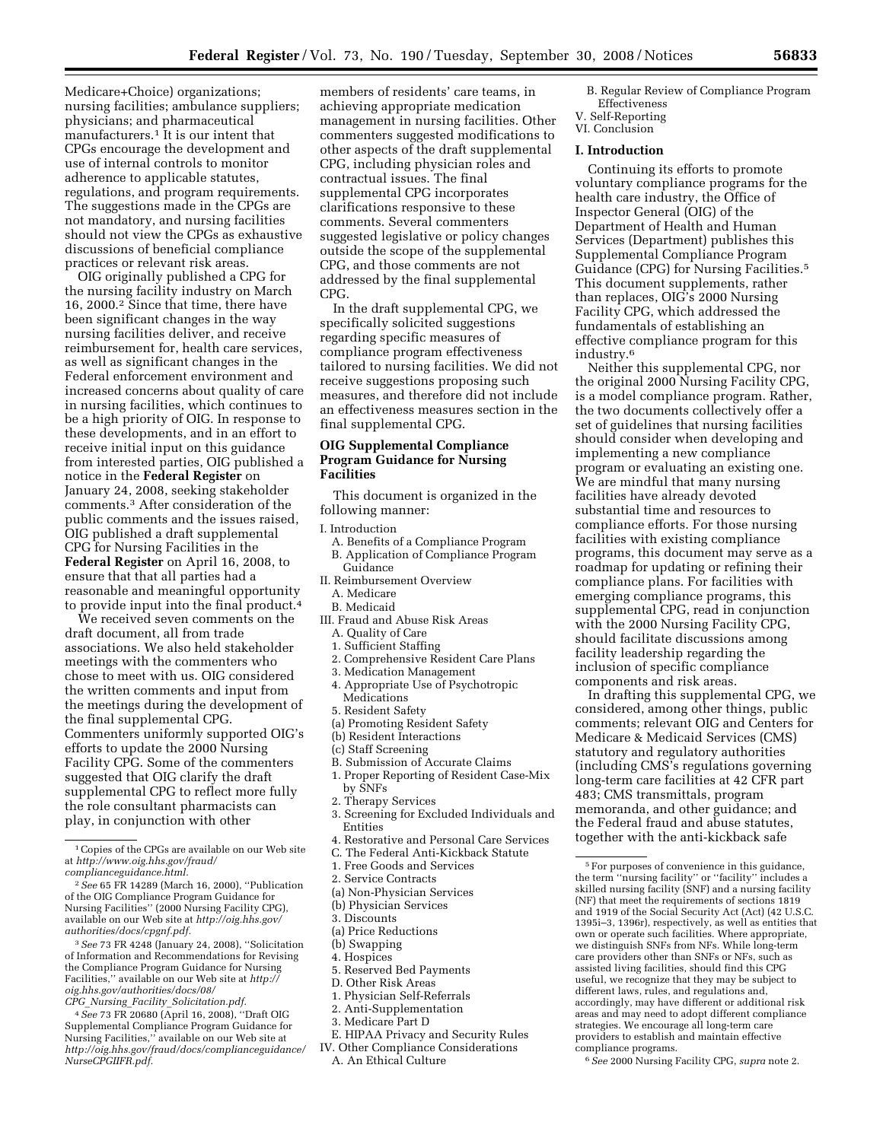Medicare+Choice) organizations; nursing facilities; ambulance suppliers; physicians; and pharmaceutical manufacturers.1 It is our intent that CPGs encourage the development and use of internal controls to monitor adherence to applicable statutes, regulations, and program requirements. The suggestions made in the CPGs are not mandatory, and nursing facilities should not view the CPGs as exhaustive discussions of beneficial compliance practices or relevant risk areas.

OIG originally published a CPG for the nursing facility industry on March 16, 2000.2 Since that time, there have been significant changes in the way nursing facilities deliver, and receive reimbursement for, health care services, as well as significant changes in the Federal enforcement environment and increased concerns about quality of care in nursing facilities, which continues to be a high priority of OIG. In response to these developments, and in an effort to receive initial input on this guidance from interested parties, OIG published a notice in the **Federal Register** on January 24, 2008, seeking stakeholder comments.3 After consideration of the public comments and the issues raised, OIG published a draft supplemental CPG for Nursing Facilities in the **Federal Register** on April 16, 2008, to ensure that that all parties had a reasonable and meaningful opportunity to provide input into the final product.4

We received seven comments on the draft document, all from trade associations. We also held stakeholder meetings with the commenters who chose to meet with us. OIG considered the written comments and input from the meetings during the development of the final supplemental CPG. Commenters uniformly supported OIG's efforts to update the 2000 Nursing Facility CPG. Some of the commenters suggested that OIG clarify the draft supplemental CPG to reflect more fully the role consultant pharmacists can play, in conjunction with other

4*See* 73 FR 20680 (April 16, 2008), ''Draft OIG Supplemental Compliance Program Guidance for Nursing Facilities,'' available on our Web site at *http://oig.hhs.gov/fraud/docs/complianceguidance/ NurseCPGIIFR.pdf.* 

members of residents' care teams, in achieving appropriate medication management in nursing facilities. Other commenters suggested modifications to other aspects of the draft supplemental CPG, including physician roles and contractual issues. The final supplemental CPG incorporates clarifications responsive to these comments. Several commenters suggested legislative or policy changes outside the scope of the supplemental CPG, and those comments are not addressed by the final supplemental CPG.

In the draft supplemental CPG, we specifically solicited suggestions regarding specific measures of compliance program effectiveness tailored to nursing facilities. We did not receive suggestions proposing such measures, and therefore did not include an effectiveness measures section in the final supplemental CPG.

## **OIG Supplemental Compliance Program Guidance for Nursing Facilities**

This document is organized in the following manner:

- I. Introduction
	- A. Benefits of a Compliance Program B. Application of Compliance Program Guidance
- II. Reimbursement Overview
- A. Medicare
- B. Medicaid
- III. Fraud and Abuse Risk Areas
	- A. Quality of Care
	- 1. Sufficient Staffing
	- 2. Comprehensive Resident Care Plans
	- 3. Medication Management
	- 4. Appropriate Use of Psychotropic **Medications**
	- 5. Resident Safety
- (a) Promoting Resident Safety
- (b) Resident Interactions
- (c) Staff Screening
- B. Submission of Accurate Claims
- 1. Proper Reporting of Resident Case-Mix by SNFs
- 2. Therapy Services
- 3. Screening for Excluded Individuals and Entities
- 4. Restorative and Personal Care Services
- C. The Federal Anti-Kickback Statute
- 1. Free Goods and Services
- 2. Service Contracts
- (a) Non-Physician Services
- (b) Physician Services
- 3. Discounts
- (a) Price Reductions
- (b) Swapping
- 4. Hospices
- 5. Reserved Bed Payments
- D. Other Risk Areas
- 1. Physician Self-Referrals
- 2. Anti-Supplementation
- 3. Medicare Part D
- E. HIPAA Privacy and Security Rules
- IV. Other Compliance Considerations A. An Ethical Culture
- B. Regular Review of Compliance Program Effectiveness V. Self-Reporting
- VI. Conclusion

#### **I. Introduction**

Continuing its efforts to promote voluntary compliance programs for the health care industry, the Office of Inspector General (OIG) of the Department of Health and Human Services (Department) publishes this Supplemental Compliance Program Guidance (CPG) for Nursing Facilities.5 This document supplements, rather than replaces, OIG's 2000 Nursing Facility CPG, which addressed the fundamentals of establishing an effective compliance program for this industry.6

Neither this supplemental CPG, nor the original 2000 Nursing Facility CPG, is a model compliance program. Rather, the two documents collectively offer a set of guidelines that nursing facilities should consider when developing and implementing a new compliance program or evaluating an existing one. We are mindful that many nursing facilities have already devoted substantial time and resources to compliance efforts. For those nursing facilities with existing compliance programs, this document may serve as a roadmap for updating or refining their compliance plans. For facilities with emerging compliance programs, this supplemental CPG, read in conjunction with the 2000 Nursing Facility CPG, should facilitate discussions among facility leadership regarding the inclusion of specific compliance components and risk areas.

In drafting this supplemental CPG, we considered, among other things, public comments; relevant OIG and Centers for Medicare & Medicaid Services (CMS) statutory and regulatory authorities (including CMS's regulations governing long-term care facilities at 42 CFR part 483; CMS transmittals, program memoranda, and other guidance; and the Federal fraud and abuse statutes, together with the anti-kickback safe

<sup>1</sup>Copies of the CPGs are available on our Web site at *http://www.oig.hhs.gov/fraud/ complianceguidance.html.* 

<sup>2</sup>*See* 65 FR 14289 (March 16, 2000), ''Publication of the OIG Compliance Program Guidance for Nursing Facilities'' (2000 Nursing Facility CPG), available on our Web site at *http://oig.hhs.gov/ authorities/docs/cpgnf.pdf.* 

<sup>3</sup>*See* 73 FR 4248 (January 24, 2008), ''Solicitation of Information and Recommendations for Revising the Compliance Program Guidance for Nursing Facilities,'' available on our Web site at *http:// oig.hhs.gov/authorities/docs/08/ CPG*\_*Nursing*\_*Facility*\_*Solicitation.pdf.* 

<sup>5</sup>For purposes of convenience in this guidance, the term ''nursing facility'' or ''facility'' includes a skilled nursing facility (SNF) and a nursing facility (NF) that meet the requirements of sections 1819 and 1919 of the Social Security Act (Act) (42 U.S.C. 1395i–3, 1396r), respectively, as well as entities that own or operate such facilities. Where appropriate, we distinguish SNFs from NFs. While long-term care providers other than SNFs or NFs, such as assisted living facilities, should find this CPG useful, we recognize that they may be subject to different laws, rules, and regulations and, accordingly, may have different or additional risk areas and may need to adopt different compliance strategies. We encourage all long-term care providers to establish and maintain effective compliance programs.

<sup>6</sup>*See* 2000 Nursing Facility CPG, *supra* note 2.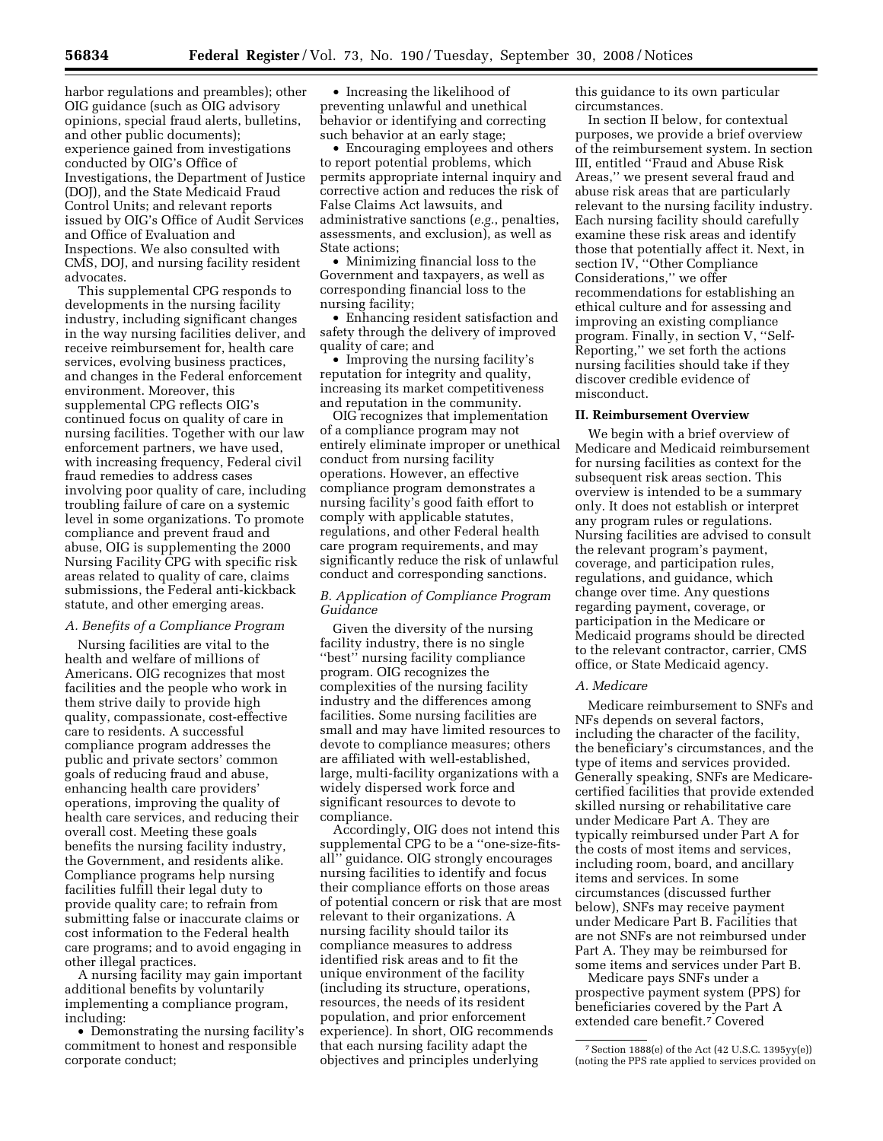harbor regulations and preambles); other OIG guidance (such as OIG advisory opinions, special fraud alerts, bulletins, and other public documents); experience gained from investigations conducted by OIG's Office of Investigations, the Department of Justice (DOJ), and the State Medicaid Fraud Control Units; and relevant reports issued by OIG's Office of Audit Services and Office of Evaluation and Inspections. We also consulted with CMS, DOJ, and nursing facility resident advocates.

This supplemental CPG responds to developments in the nursing facility industry, including significant changes in the way nursing facilities deliver, and receive reimbursement for, health care services, evolving business practices, and changes in the Federal enforcement environment. Moreover, this supplemental CPG reflects OIG's continued focus on quality of care in nursing facilities. Together with our law enforcement partners, we have used, with increasing frequency, Federal civil fraud remedies to address cases involving poor quality of care, including troubling failure of care on a systemic level in some organizations. To promote compliance and prevent fraud and abuse, OIG is supplementing the 2000 Nursing Facility CPG with specific risk areas related to quality of care, claims submissions, the Federal anti-kickback statute, and other emerging areas.

## *A. Benefits of a Compliance Program*

Nursing facilities are vital to the health and welfare of millions of Americans. OIG recognizes that most facilities and the people who work in them strive daily to provide high quality, compassionate, cost-effective care to residents. A successful compliance program addresses the public and private sectors' common goals of reducing fraud and abuse, enhancing health care providers' operations, improving the quality of health care services, and reducing their overall cost. Meeting these goals benefits the nursing facility industry, the Government, and residents alike. Compliance programs help nursing facilities fulfill their legal duty to provide quality care; to refrain from submitting false or inaccurate claims or cost information to the Federal health care programs; and to avoid engaging in other illegal practices.

A nursing facility may gain important additional benefits by voluntarily implementing a compliance program, including:

• Demonstrating the nursing facility's commitment to honest and responsible corporate conduct;

• Increasing the likelihood of preventing unlawful and unethical behavior or identifying and correcting such behavior at an early stage;

• Encouraging employees and others to report potential problems, which permits appropriate internal inquiry and corrective action and reduces the risk of False Claims Act lawsuits, and administrative sanctions (*e.g.*, penalties, assessments, and exclusion), as well as State actions;

• Minimizing financial loss to the Government and taxpayers, as well as corresponding financial loss to the nursing facility;

• Enhancing resident satisfaction and safety through the delivery of improved quality of care; and

• Improving the nursing facility's reputation for integrity and quality, increasing its market competitiveness and reputation in the community.

OIG recognizes that implementation of a compliance program may not entirely eliminate improper or unethical conduct from nursing facility operations. However, an effective compliance program demonstrates a nursing facility's good faith effort to comply with applicable statutes, regulations, and other Federal health care program requirements, and may significantly reduce the risk of unlawful conduct and corresponding sanctions.

## *B. Application of Compliance Program Guidance*

Given the diversity of the nursing facility industry, there is no single ''best'' nursing facility compliance program. OIG recognizes the complexities of the nursing facility industry and the differences among facilities. Some nursing facilities are small and may have limited resources to devote to compliance measures; others are affiliated with well-established, large, multi-facility organizations with a widely dispersed work force and significant resources to devote to compliance.

Accordingly, OIG does not intend this supplemental CPG to be a ''one-size-fitsall'' guidance. OIG strongly encourages nursing facilities to identify and focus their compliance efforts on those areas of potential concern or risk that are most relevant to their organizations. A nursing facility should tailor its compliance measures to address identified risk areas and to fit the unique environment of the facility (including its structure, operations, resources, the needs of its resident population, and prior enforcement experience). In short, OIG recommends that each nursing facility adapt the objectives and principles underlying

this guidance to its own particular circumstances.

In section II below, for contextual purposes, we provide a brief overview of the reimbursement system. In section III, entitled ''Fraud and Abuse Risk Areas,'' we present several fraud and abuse risk areas that are particularly relevant to the nursing facility industry. Each nursing facility should carefully examine these risk areas and identify those that potentially affect it. Next, in section IV, "Other Compliance Considerations,'' we offer recommendations for establishing an ethical culture and for assessing and improving an existing compliance program. Finally, in section V, ''Self-Reporting,'' we set forth the actions nursing facilities should take if they discover credible evidence of misconduct.

#### **II. Reimbursement Overview**

We begin with a brief overview of Medicare and Medicaid reimbursement for nursing facilities as context for the subsequent risk areas section. This overview is intended to be a summary only. It does not establish or interpret any program rules or regulations. Nursing facilities are advised to consult the relevant program's payment, coverage, and participation rules, regulations, and guidance, which change over time. Any questions regarding payment, coverage, or participation in the Medicare or Medicaid programs should be directed to the relevant contractor, carrier, CMS office, or State Medicaid agency.

#### *A. Medicare*

Medicare reimbursement to SNFs and NFs depends on several factors, including the character of the facility, the beneficiary's circumstances, and the type of items and services provided. Generally speaking, SNFs are Medicarecertified facilities that provide extended skilled nursing or rehabilitative care under Medicare Part A. They are typically reimbursed under Part A for the costs of most items and services, including room, board, and ancillary items and services. In some circumstances (discussed further below), SNFs may receive payment under Medicare Part B. Facilities that are not SNFs are not reimbursed under Part A. They may be reimbursed for some items and services under Part B.

Medicare pays SNFs under a prospective payment system (PPS) for beneficiaries covered by the Part A extended care benefit.7 Covered

<sup>7</sup>Section 1888(e) of the Act (42 U.S.C. 1395yy(e)) (noting the PPS rate applied to services provided on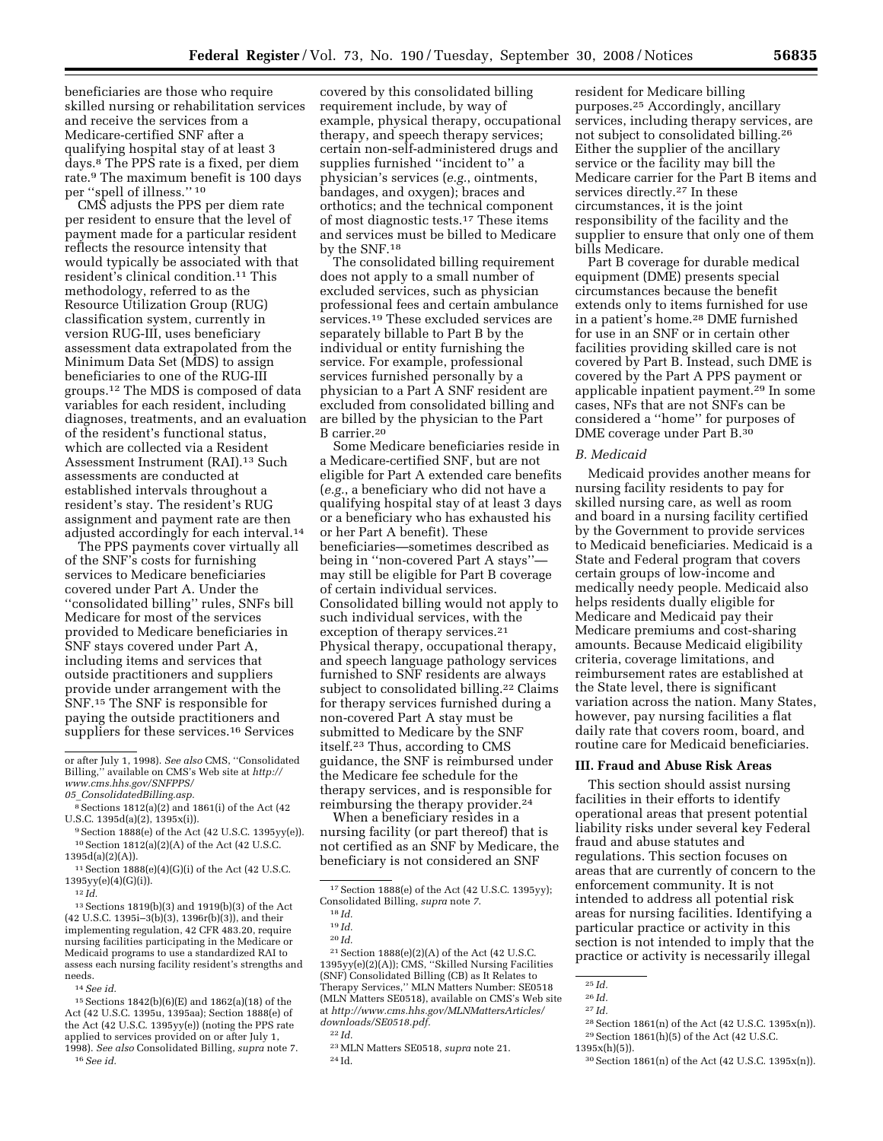beneficiaries are those who require skilled nursing or rehabilitation services and receive the services from a Medicare-certified SNF after a qualifying hospital stay of at least 3 days.8 The PPS rate is a fixed, per diem rate.9 The maximum benefit is 100 days

per "spell of illness."<sup>10</sup> CMS adjusts the PPS per diem rate per resident to ensure that the level of payment made for a particular resident reflects the resource intensity that would typically be associated with that resident's clinical condition.11 This methodology, referred to as the Resource Utilization Group (RUG) classification system, currently in version RUG-III, uses beneficiary assessment data extrapolated from the Minimum Data Set (MDS) to assign beneficiaries to one of the RUG-III groups.12 The MDS is composed of data variables for each resident, including diagnoses, treatments, and an evaluation of the resident's functional status, which are collected via a Resident Assessment Instrument (RAI).13 Such assessments are conducted at established intervals throughout a resident's stay. The resident's RUG assignment and payment rate are then adjusted accordingly for each interval.14

The PPS payments cover virtually all of the SNF's costs for furnishing services to Medicare beneficiaries covered under Part A. Under the ''consolidated billing'' rules, SNFs bill Medicare for most of the services provided to Medicare beneficiaries in SNF stays covered under Part A, including items and services that outside practitioners and suppliers provide under arrangement with the SNF.15 The SNF is responsible for paying the outside practitioners and suppliers for these services.<sup>16</sup> Services

9Section 1888(e) of the Act (42 U.S.C. 1395yy(e)). 10Section 1812(a)(2)(A) of the Act (42 U.S.C. 1395d(a)(2)(A)).

13Sections 1819(b)(3) and 1919(b)(3) of the Act (42 U.S.C. 1395i–3(b)(3), 1396r(b)(3)), and their implementing regulation, 42 CFR 483.20, require nursing facilities participating in the Medicare or Medicaid programs to use a standardized RAI to assess each nursing facility resident's strengths and needs.

14*See id.* 

15Sections 1842(b)(6)(E) and 1862(a)(18) of the Act (42 U.S.C. 1395u, 1395aa); Section 1888(e) of the Act (42 U.S.C. 1395yy(e)) (noting the PPS rate applied to services provided on or after July 1, 1998). *See also* Consolidated Billing, *supra* note 7. 16*See id.* 

The consolidated billing requirement does not apply to a small number of excluded services, such as physician professional fees and certain ambulance services.<sup>19</sup> These excluded services are separately billable to Part B by the individual or entity furnishing the service. For example, professional services furnished personally by a physician to a Part A SNF resident are excluded from consolidated billing and are billed by the physician to the Part B carrier.20

Some Medicare beneficiaries reside in a Medicare-certified SNF, but are not eligible for Part A extended care benefits (*e.g.*, a beneficiary who did not have a qualifying hospital stay of at least 3 days or a beneficiary who has exhausted his or her Part A benefit). These beneficiaries—sometimes described as being in "non-covered Part A stays" may still be eligible for Part B coverage of certain individual services. Consolidated billing would not apply to such individual services, with the exception of therapy services.<sup>21</sup> Physical therapy, occupational therapy, and speech language pathology services furnished to SNF residents are always subject to consolidated billing.<sup>22</sup> Claims for therapy services furnished during a non-covered Part A stay must be submitted to Medicare by the SNF itself.23 Thus, according to CMS guidance, the SNF is reimbursed under the Medicare fee schedule for the therapy services, and is responsible for reimbursing the therapy provider.24

When a beneficiary resides in a nursing facility (or part thereof) that is not certified as an SNF by Medicare, the beneficiary is not considered an SNF

21Section 1888(e)(2)(A) of the Act (42 U.S.C. 1395yy(e)(2)(A)); CMS, ''Skilled Nursing Facilities (SNF) Consolidated Billing (CB) as It Relates to Therapy Services,'' MLN Matters Number: SE0518 (MLN Matters SE0518), available on CMS's Web site at *http://www.cms.hhs.gov/MLNMattersArticles/ downloads/SE0518.pdf.* 

resident for Medicare billing purposes.25 Accordingly, ancillary services, including therapy services, are not subject to consolidated billing.26 Either the supplier of the ancillary service or the facility may bill the Medicare carrier for the Part B items and services directly.27 In these circumstances, it is the joint responsibility of the facility and the supplier to ensure that only one of them bills Medicare.

Part B coverage for durable medical equipment (DME) presents special circumstances because the benefit extends only to items furnished for use in a patient's home.28 DME furnished for use in an SNF or in certain other facilities providing skilled care is not covered by Part B. Instead, such DME is covered by the Part A PPS payment or applicable inpatient payment.29 In some cases, NFs that are not SNFs can be considered a ''home'' for purposes of DME coverage under Part B.30

## *B. Medicaid*

Medicaid provides another means for nursing facility residents to pay for skilled nursing care, as well as room and board in a nursing facility certified by the Government to provide services to Medicaid beneficiaries. Medicaid is a State and Federal program that covers certain groups of low-income and medically needy people. Medicaid also helps residents dually eligible for Medicare and Medicaid pay their Medicare premiums and cost-sharing amounts. Because Medicaid eligibility criteria, coverage limitations, and reimbursement rates are established at the State level, there is significant variation across the nation. Many States, however, pay nursing facilities a flat daily rate that covers room, board, and routine care for Medicaid beneficiaries.

## **III. Fraud and Abuse Risk Areas**

This section should assist nursing facilities in their efforts to identify operational areas that present potential liability risks under several key Federal fraud and abuse statutes and regulations. This section focuses on areas that are currently of concern to the enforcement community. It is not intended to address all potential risk areas for nursing facilities. Identifying a particular practice or activity in this section is not intended to imply that the practice or activity is necessarily illegal

or after July 1, 1998). *See also* CMS, ''Consolidated Billing,'' available on CMS's Web site at *http:// www.cms.hhs.gov/SNFPPS/* 

*<sup>05</sup>*\_*ConsolidatedBilling.asp.* 

<sup>8</sup>Sections 1812(a)(2) and 1861(i) of the Act (42 U.S.C. 1395d(a)(2), 1395x(i)).

 $^{11}$  Section  $1888 \times (e)(4) \times (i)$  of the Act (42 U.S.C. 1395yy(e)(4)(G)(i)).

<sup>12</sup> *Id.* 

covered by this consolidated billing requirement include, by way of example, physical therapy, occupational therapy, and speech therapy services; certain non-self-administered drugs and supplies furnished ''incident to'' a physician's services (*e.g.*, ointments, bandages, and oxygen); braces and orthotics; and the technical component of most diagnostic tests.17 These items and services must be billed to Medicare by the SNF.18

<sup>17</sup>Section 1888(e) of the Act (42 U.S.C. 1395yy); Consolidated Billing, *supra* note *7*.

<sup>18</sup> *Id.* 

<sup>19</sup> *Id.* 

<sup>20</sup> *Id.* 

<sup>22</sup> *Id.* 

<sup>23</sup>MLN Matters SE0518, *supra* note 21. 24 Id.

<sup>25</sup> *Id.* 

<sup>26</sup> *Id.*  27 *Id.* 

<sup>28</sup>Section 1861(n) of the Act (42 U.S.C. 1395x(n)).  $^{29}\,$  Section 1861(h)(5) of the Act (42 U.S.C.  $1395x(h)(5)$ ).

<sup>30</sup>Section 1861(n) of the Act (42 U.S.C. 1395x(n)).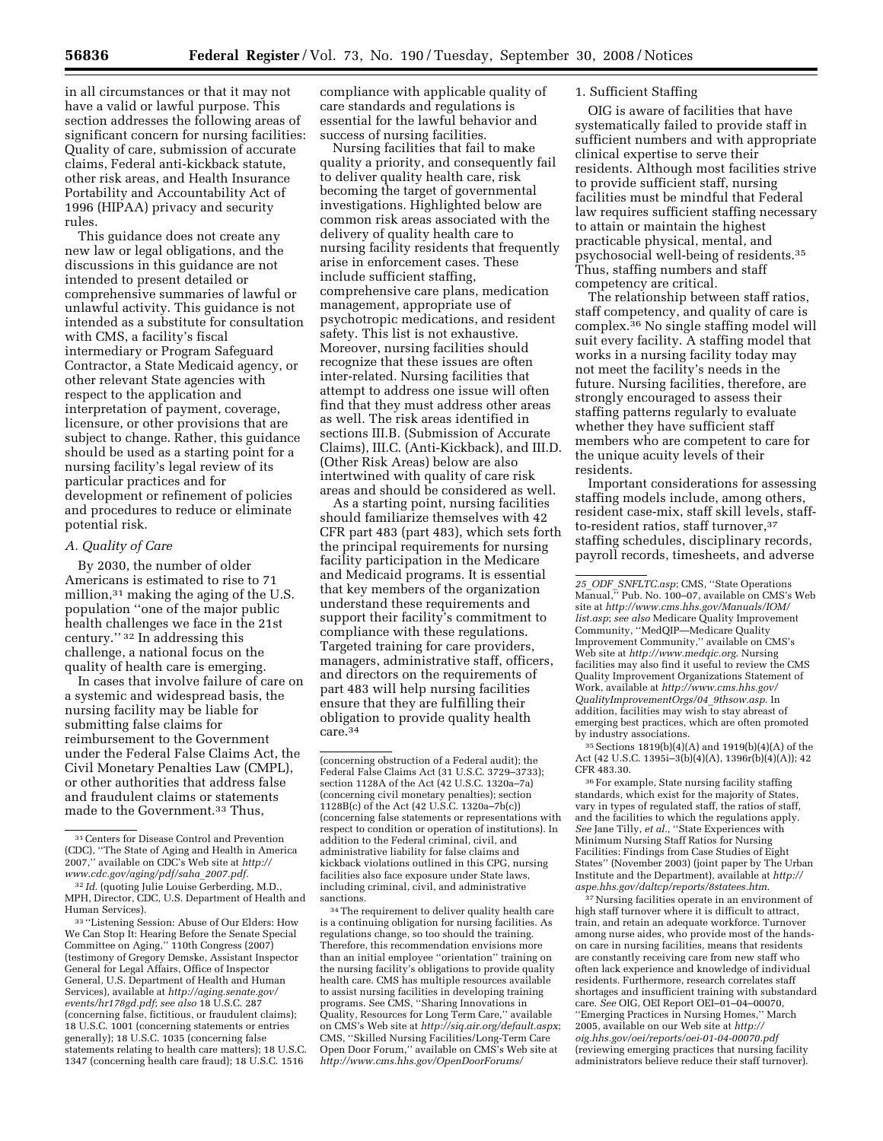in all circumstances or that it may not have a valid or lawful purpose. This section addresses the following areas of significant concern for nursing facilities: Quality of care, submission of accurate claims, Federal anti-kickback statute, other risk areas, and Health Insurance Portability and Accountability Act of 1996 (HIPAA) privacy and security rules.

This guidance does not create any new law or legal obligations, and the discussions in this guidance are not intended to present detailed or comprehensive summaries of lawful or unlawful activity. This guidance is not intended as a substitute for consultation with CMS, a facility's fiscal intermediary or Program Safeguard Contractor, a State Medicaid agency, or other relevant State agencies with respect to the application and interpretation of payment, coverage, licensure, or other provisions that are subject to change. Rather, this guidance should be used as a starting point for a nursing facility's legal review of its particular practices and for development or refinement of policies and procedures to reduce or eliminate potential risk.

### *A. Quality of Care*

By 2030, the number of older Americans is estimated to rise to 71 million,<sup>31</sup> making the aging of the U.S. population ''one of the major public health challenges we face in the 21st century.'' 32 In addressing this challenge, a national focus on the quality of health care is emerging.

In cases that involve failure of care on a systemic and widespread basis, the nursing facility may be liable for submitting false claims for reimbursement to the Government under the Federal False Claims Act, the Civil Monetary Penalties Law (CMPL), or other authorities that address false and fraudulent claims or statements made to the Government.33 Thus,

33 ''Listening Session: Abuse of Our Elders: How We Can Stop It: Hearing Before the Senate Special Committee on Aging,'' 110th Congress (2007) (testimony of Gregory Demske, Assistant Inspector General for Legal Affairs, Office of Inspector General, U.S. Department of Health and Human Services), available at *http://aging.senate.gov/ events/hr178gd.pdf*; *see also* 18 U.S.C. 287 (concerning false, fictitious, or fraudulent claims); 18 U.S.C. 1001 (concerning statements or entries generally); 18 U.S.C. 1035 (concerning false statements relating to health care matters); 18 U.S.C. 1347 (concerning health care fraud); 18 U.S.C. 1516

compliance with applicable quality of care standards and regulations is essential for the lawful behavior and success of nursing facilities.

Nursing facilities that fail to make quality a priority, and consequently fail to deliver quality health care, risk becoming the target of governmental investigations. Highlighted below are common risk areas associated with the delivery of quality health care to nursing facility residents that frequently arise in enforcement cases. These include sufficient staffing, comprehensive care plans, medication management, appropriate use of psychotropic medications, and resident safety. This list is not exhaustive. Moreover, nursing facilities should recognize that these issues are often inter-related. Nursing facilities that attempt to address one issue will often find that they must address other areas as well. The risk areas identified in sections III.B. (Submission of Accurate Claims), III.C. (Anti-Kickback), and III.D. (Other Risk Areas) below are also intertwined with quality of care risk areas and should be considered as well.

As a starting point, nursing facilities should familiarize themselves with 42 CFR part 483 (part 483), which sets forth the principal requirements for nursing facility participation in the Medicare and Medicaid programs. It is essential that key members of the organization understand these requirements and support their facility's commitment to compliance with these regulations. Targeted training for care providers, managers, administrative staff, officers, and directors on the requirements of part 483 will help nursing facilities ensure that they are fulfilling their obligation to provide quality health care.34

(concerning obstruction of a Federal audit); the Federal False Claims Act (31 U.S.C. 3729–3733); section 1128A of the Act (42 U.S.C. 1320a–7a) (concerning civil monetary penalties); section 1128B(c) of the Act (42 U.S.C. 1320a–7b(c)) (concerning false statements or representations with respect to condition or operation of institutions). In addition to the Federal criminal, civil, and administrative liability for false claims and kickback violations outlined in this CPG, nursing facilities also face exposure under State laws, including criminal, civil, and administrative sanctions.

34The requirement to deliver quality health care is a continuing obligation for nursing facilities. As regulations change, so too should the training. Therefore, this recommendation envisions more than an initial employee ''orientation'' training on the nursing facility's obligations to provide quality health care. CMS has multiple resources available to assist nursing facilities in developing training programs. See CMS, ''Sharing Innovations in Quality, Resources for Long Term Care,'' available on CMS's Web site at *http://siq.air.org/default.aspx*; CMS, ''Skilled Nursing Facilities/Long-Term Care Open Door Forum,'' available on CMS's Web site at *http://www.cms.hhs.gov/OpenDoorForums/* 

## 1. Sufficient Staffing

OIG is aware of facilities that have systematically failed to provide staff in sufficient numbers and with appropriate clinical expertise to serve their residents. Although most facilities strive to provide sufficient staff, nursing facilities must be mindful that Federal law requires sufficient staffing necessary to attain or maintain the highest practicable physical, mental, and psychosocial well-being of residents.35 Thus, staffing numbers and staff competency are critical.

The relationship between staff ratios, staff competency, and quality of care is complex.36 No single staffing model will suit every facility. A staffing model that works in a nursing facility today may not meet the facility's needs in the future. Nursing facilities, therefore, are strongly encouraged to assess their staffing patterns regularly to evaluate whether they have sufficient staff members who are competent to care for the unique acuity levels of their residents.

Important considerations for assessing staffing models include, among others, resident case-mix, staff skill levels, staffto-resident ratios, staff turnover,<sup>37</sup> staffing schedules, disciplinary records, payroll records, timesheets, and adverse

35Sections 1819(b)(4)(A) and 1919(b)(4)(A) of the Act (42 U.S.C. 1395i–3(b)(4)(A), 1396r(b)(4)(A)); 42 CFR 483.30.

36For example, State nursing facility staffing standards, which exist for the majority of States, vary in types of regulated staff, the ratios of staff, and the facilities to which the regulations apply. *See* Jane Tilly, *et al.,* ''State Experiences with Minimum Nursing Staff Ratios for Nursing Facilities: Findings from Case Studies of Eight States'' (November 2003) (joint paper by The Urban Institute and the Department), available at *http:// aspe.hhs.gov/daltcp/reports/8statees.htm*.

37Nursing facilities operate in an environment of high staff turnover where it is difficult to attract, train, and retain an adequate workforce. Turnover among nurse aides, who provide most of the handson care in nursing facilities, means that residents are constantly receiving care from new staff who often lack experience and knowledge of individual residents. Furthermore, research correlates staff shortages and insufficient training with substandard care. *See* OIG, OEI Report OEI–01–04–00070, ''Emerging Practices in Nursing Homes,'' March 2005, available on our Web site at *http:// oig.hhs.gov/oei/reports/oei-01-04-00070.pdf*  (reviewing emerging practices that nursing facility administrators believe reduce their staff turnover).

<sup>31</sup>Centers for Disease Control and Prevention (CDC), ''The State of Aging and Health in America 2007,'' available on CDC's Web site at *http:// www.cdc.gov/aging/pdf/saha*\_*2007.pdf.* 

<sup>32</sup> *Id.* (quoting Julie Louise Gerberding, M.D., MPH, Director, CDC, U.S. Department of Health and Human Services).

*<sup>25</sup>*\_*ODF*\_*SNFLTC.asp*; CMS, ''State Operations Manual,'' Pub. No. 100–07, available on CMS's Web site at *http://www.cms.hhs.gov/Manuals/IOM/ list.asp*; *see also* Medicare Quality Improvement Community, ''MedQIP—Medicare Quality Improvement Community,'' available on CMS's Web site at *http://www.medqic.org*. Nursing facilities may also find it useful to review the CMS Quality Improvement Organizations Statement of Work, available at *http://www.cms.hhs.gov/ QualityImprovementOrgs/04*\_*9thsow.asp*. In addition, facilities may wish to stay abreast of emerging best practices, which are often promoted by industry associations.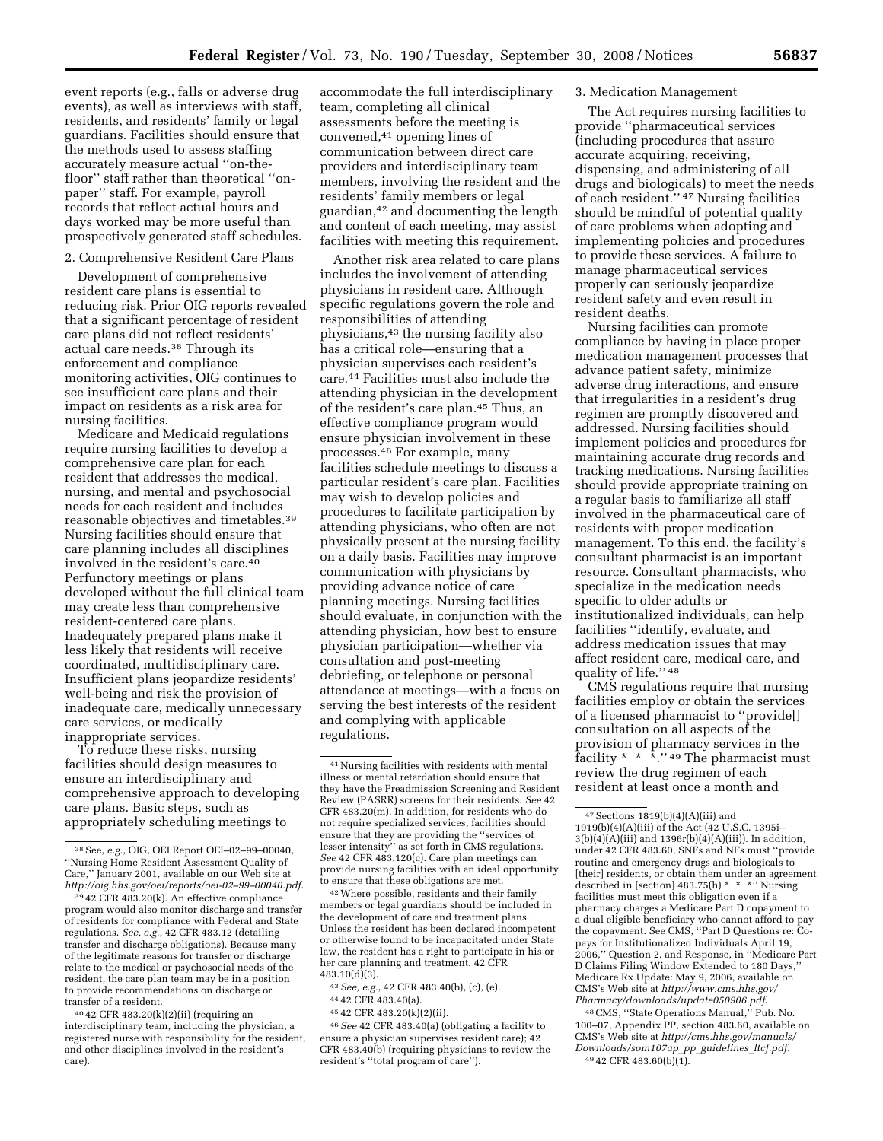event reports (e.g., falls or adverse drug events), as well as interviews with staff, residents, and residents' family or legal guardians. Facilities should ensure that the methods used to assess staffing accurately measure actual ''on-thefloor'' staff rather than theoretical ''onpaper'' staff. For example, payroll records that reflect actual hours and days worked may be more useful than prospectively generated staff schedules.

### 2. Comprehensive Resident Care Plans

Development of comprehensive resident care plans is essential to reducing risk. Prior OIG reports revealed that a significant percentage of resident care plans did not reflect residents' actual care needs.38 Through its enforcement and compliance monitoring activities, OIG continues to see insufficient care plans and their impact on residents as a risk area for nursing facilities.

Medicare and Medicaid regulations require nursing facilities to develop a comprehensive care plan for each resident that addresses the medical, nursing, and mental and psychosocial needs for each resident and includes reasonable objectives and timetables.39 Nursing facilities should ensure that care planning includes all disciplines involved in the resident's care.40 Perfunctory meetings or plans developed without the full clinical team may create less than comprehensive resident-centered care plans. Inadequately prepared plans make it less likely that residents will receive coordinated, multidisciplinary care. Insufficient plans jeopardize residents' well-being and risk the provision of inadequate care, medically unnecessary care services, or medically inappropriate services.

To reduce these risks, nursing facilities should design measures to ensure an interdisciplinary and comprehensive approach to developing care plans. Basic steps, such as appropriately scheduling meetings to

accommodate the full interdisciplinary team, completing all clinical assessments before the meeting is convened,41 opening lines of communication between direct care providers and interdisciplinary team members, involving the resident and the residents' family members or legal guardian,42 and documenting the length and content of each meeting, may assist facilities with meeting this requirement.

Another risk area related to care plans includes the involvement of attending physicians in resident care. Although specific regulations govern the role and responsibilities of attending physicians,43 the nursing facility also has a critical role—ensuring that a physician supervises each resident's care.44 Facilities must also include the attending physician in the development of the resident's care plan.45 Thus, an effective compliance program would ensure physician involvement in these processes.46 For example, many facilities schedule meetings to discuss a particular resident's care plan. Facilities may wish to develop policies and procedures to facilitate participation by attending physicians, who often are not physically present at the nursing facility on a daily basis. Facilities may improve communication with physicians by providing advance notice of care planning meetings. Nursing facilities should evaluate, in conjunction with the attending physician, how best to ensure physician participation—whether via consultation and post-meeting debriefing, or telephone or personal attendance at meetings—with a focus on serving the best interests of the resident and complying with applicable regulations.

42Where possible, residents and their family members or legal guardians should be included in the development of care and treatment plans. Unless the resident has been declared incompetent or otherwise found to be incapacitated under State law, the resident has a right to participate in his or her care planning and treatment. 42 CFR 483.10(d)(3).

- 44 42 CFR 483.40(a).
- 45 42 CFR 483.20(k)(2)(ii).

46*See* 42 CFR 483.40(a) (obligating a facility to ensure a physician supervises resident care); 42 CFR 483.40(b) (requiring physicians to review the resident's ''total program of care'').

#### 3. Medication Management

The Act requires nursing facilities to provide ''pharmaceutical services (including procedures that assure accurate acquiring, receiving, dispensing, and administering of all drugs and biologicals) to meet the needs of each resident.'' 47 Nursing facilities should be mindful of potential quality of care problems when adopting and implementing policies and procedures to provide these services. A failure to manage pharmaceutical services properly can seriously jeopardize resident safety and even result in resident deaths.

Nursing facilities can promote compliance by having in place proper medication management processes that advance patient safety, minimize adverse drug interactions, and ensure that irregularities in a resident's drug regimen are promptly discovered and addressed. Nursing facilities should implement policies and procedures for maintaining accurate drug records and tracking medications. Nursing facilities should provide appropriate training on a regular basis to familiarize all staff involved in the pharmaceutical care of residents with proper medication management. To this end, the facility's consultant pharmacist is an important resource. Consultant pharmacists, who specialize in the medication needs specific to older adults or institutionalized individuals, can help facilities ''identify, evaluate, and address medication issues that may affect resident care, medical care, and quality of life.'' 48

CMS regulations require that nursing facilities employ or obtain the services of a licensed pharmacist to ''provide[] consultation on all aspects of the provision of pharmacy services in the facility  $* * * "49$  The pharmacist must review the drug regimen of each resident at least once a month and

48CMS, ''State Operations Manual,'' Pub. No. 100–07, Appendix PP, section 483.60, available on CMS's Web site at *http://cms.hhs.gov/manuals/ Downloads/som107ap*\_*pp*\_*guidelines*\_*ltcf.pdf.*  49 42 CFR 483.60(b)(1).

<sup>38</sup>See, *e.g.*, OIG, OEI Report OEI–02–99–00040, ''Nursing Home Resident Assessment Quality of Care,'' January 2001, available on our Web site at *http://oig.hhs.gov/oei/reports/oei-02–99–00040.pdf*.

<sup>39</sup> 42 CFR 483.20(k). An effective compliance program would also monitor discharge and transfer of residents for compliance with Federal and State regulations. *See, e.g.*, 42 CFR 483.12 (detailing transfer and discharge obligations). Because many of the legitimate reasons for transfer or discharge relate to the medical or psychosocial needs of the resident, the care plan team may be in a position to provide recommendations on discharge or transfer of a resident.

<sup>40</sup> 42 CFR 483.20(k)(2)(ii) (requiring an interdisciplinary team, including the physician, a registered nurse with responsibility for the resident, and other disciplines involved in the resident's care).

<sup>41</sup>Nursing facilities with residents with mental illness or mental retardation should ensure that they have the Preadmission Screening and Resident Review (PASRR) screens for their residents. *See* 42 CFR 483.20(m). In addition, for residents who do not require specialized services, facilities should ensure that they are providing the ''services of lesser intensity'' as set forth in CMS regulations. *See* 42 CFR 483.120(c). Care plan meetings can provide nursing facilities with an ideal opportunity to ensure that these obligations are met.

<sup>43</sup>*See, e.g.*, 42 CFR 483.40(b), (c), (e).

 $47$  Sections  $1819(b)(4)(A)(iii)$  and 1919(b)(4)(A)(iii) of the Act (42 U.S.C. 1395i– 3(b)(4)(A)(iii) and 1396r(b)(4)(A)(iii)). In addition, under 42 CFR 483.60, SNFs and NFs must ''provide routine and emergency drugs and biologicals to [their] residents, or obtain them under an agreement described in [section] 483.75(h) \* \* \*'' Nursing facilities must meet this obligation even if a pharmacy charges a Medicare Part D copayment to a dual eligible beneficiary who cannot afford to pay the copayment. See CMS, ''Part D Questions re: Copays for Institutionalized Individuals April 19, 2006,'' Question 2. and Response, in ''Medicare Part D Claims Filing Window Extended to 180 Days,'' Medicare Rx Update: May 9, 2006, available on CMS's Web site at *http://www.cms.hhs.gov/ Pharmacy/downloads/update050906.pdf*.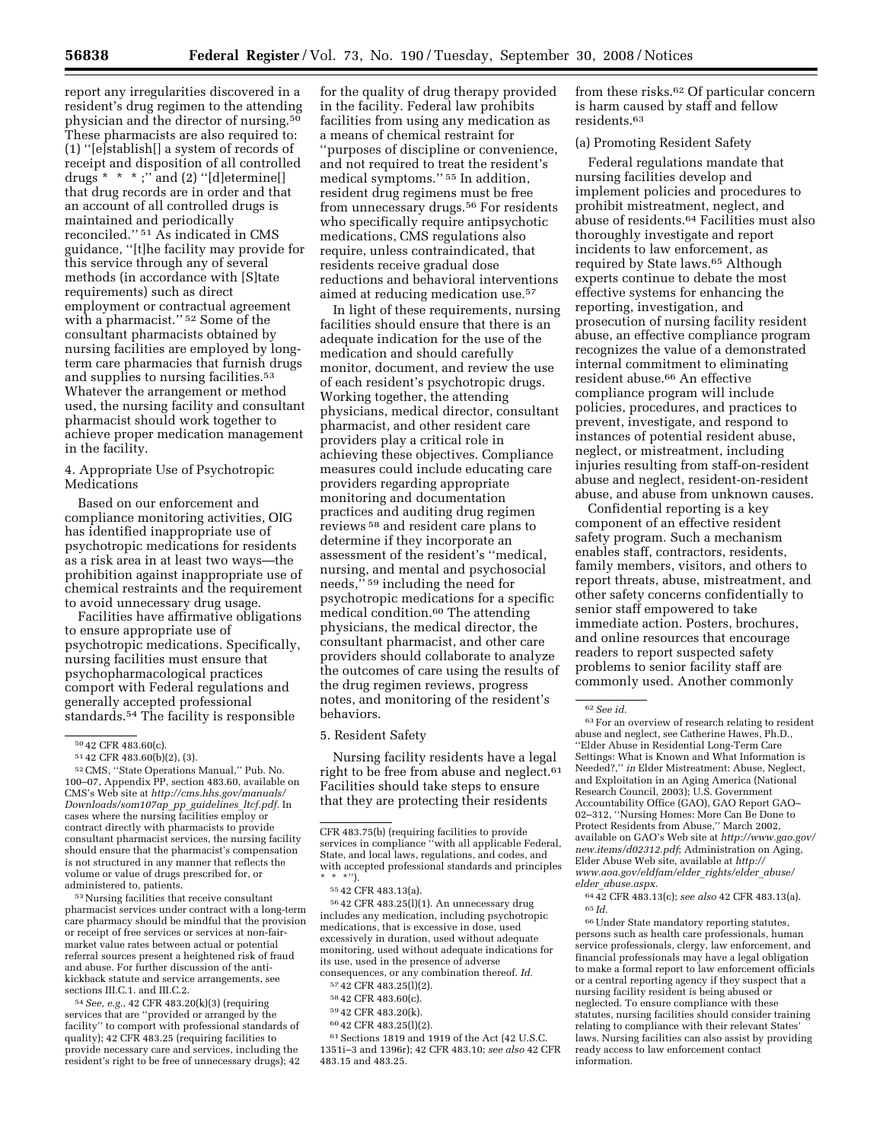report any irregularities discovered in a resident's drug regimen to the attending physician and the director of nursing.50 These pharmacists are also required to: (1) ''[e]stablish[] a system of records of receipt and disposition of all controlled drugs  $* * *$ ;" and  $(2)$  "[d]etermine[] that drug records are in order and that an account of all controlled drugs is maintained and periodically reconciled.'' 51 As indicated in CMS guidance, ''[t]he facility may provide for this service through any of several methods (in accordance with [S]tate requirements) such as direct employment or contractual agreement with a pharmacist.'' 52 Some of the consultant pharmacists obtained by nursing facilities are employed by longterm care pharmacies that furnish drugs and supplies to nursing facilities.<sup>53</sup> Whatever the arrangement or method used, the nursing facility and consultant pharmacist should work together to achieve proper medication management in the facility.

4. Appropriate Use of Psychotropic Medications

Based on our enforcement and compliance monitoring activities, OIG has identified inappropriate use of psychotropic medications for residents as a risk area in at least two ways—the prohibition against inappropriate use of chemical restraints and the requirement to avoid unnecessary drug usage.

Facilities have affirmative obligations to ensure appropriate use of psychotropic medications. Specifically, nursing facilities must ensure that psychopharmacological practices comport with Federal regulations and generally accepted professional standards.54 The facility is responsible

53Nursing facilities that receive consultant pharmacist services under contract with a long-term care pharmacy should be mindful that the provision or receipt of free services or services at non-fairmarket value rates between actual or potential referral sources present a heightened risk of fraud and abuse. For further discussion of the antikickback statute and service arrangements, see sections III.C.1. and III.C.2.

54*See, e.g.*, 42 CFR 483.20(k)(3) (requiring services that are ''provided or arranged by the facility'' to comport with professional standards of quality); 42 CFR 483.25 (requiring facilities to provide necessary care and services, including the resident's right to be free of unnecessary drugs); 42

for the quality of drug therapy provided in the facility. Federal law prohibits facilities from using any medication as a means of chemical restraint for ''purposes of discipline or convenience, and not required to treat the resident's medical symptoms.'' 55 In addition, resident drug regimens must be free from unnecessary drugs.<sup>56</sup> For residents who specifically require antipsychotic medications, CMS regulations also require, unless contraindicated, that residents receive gradual dose reductions and behavioral interventions aimed at reducing medication use.57

In light of these requirements, nursing facilities should ensure that there is an adequate indication for the use of the medication and should carefully monitor, document, and review the use of each resident's psychotropic drugs. Working together, the attending physicians, medical director, consultant pharmacist, and other resident care providers play a critical role in achieving these objectives. Compliance measures could include educating care providers regarding appropriate monitoring and documentation practices and auditing drug regimen reviews 58 and resident care plans to determine if they incorporate an assessment of the resident's ''medical, nursing, and mental and psychosocial needs,'' 59 including the need for psychotropic medications for a specific medical condition.<sup>60</sup> The attending physicians, the medical director, the consultant pharmacist, and other care providers should collaborate to analyze the outcomes of care using the results of the drug regimen reviews, progress notes, and monitoring of the resident's behaviors.

5. Resident Safety

Nursing facility residents have a legal right to be free from abuse and neglect.<sup>61</sup> Facilities should take steps to ensure that they are protecting their residents

56 42 CFR 483.25(l)(1). An unnecessary drug includes any medication, including psychotropic medications, that is excessive in dose, used excessively in duration, used without adequate monitoring, used without adequate indications for its use, used in the presence of adverse consequences, or any combination thereof. *Id.* 

- 59 42 CFR 483.20(k).
- 60 42 CFR 483.25(l)(2).

61Sections 1819 and 1919 of the Act (42 U.S.C. 1351i–3 and 1396r); 42 CFR 483.10; *see also* 42 CFR 483.15 and 483.25.

from these risks.<sup>62</sup> Of particular concern is harm caused by staff and fellow residents.63

#### (a) Promoting Resident Safety

Federal regulations mandate that nursing facilities develop and implement policies and procedures to prohibit mistreatment, neglect, and abuse of residents.64 Facilities must also thoroughly investigate and report incidents to law enforcement, as required by State laws.65 Although experts continue to debate the most effective systems for enhancing the reporting, investigation, and prosecution of nursing facility resident abuse, an effective compliance program recognizes the value of a demonstrated internal commitment to eliminating resident abuse.66 An effective compliance program will include policies, procedures, and practices to prevent, investigate, and respond to instances of potential resident abuse, neglect, or mistreatment, including injuries resulting from staff-on-resident abuse and neglect, resident-on-resident abuse, and abuse from unknown causes.

Confidential reporting is a key component of an effective resident safety program. Such a mechanism enables staff, contractors, residents, family members, visitors, and others to report threats, abuse, mistreatment, and other safety concerns confidentially to senior staff empowered to take immediate action. Posters, brochures, and online resources that encourage readers to report suspected safety problems to senior facility staff are commonly used. Another commonly

66Under State mandatory reporting statutes, persons such as health care professionals, human service professionals, clergy, law enforcement, and financial professionals may have a legal obligation to make a formal report to law enforcement officials or a central reporting agency if they suspect that a nursing facility resident is being abused or neglected. To ensure compliance with these statutes, nursing facilities should consider training relating to compliance with their relevant States' laws. Nursing facilities can also assist by providing ready access to law enforcement contact information.

<sup>50</sup> 42 CFR 483.60(c).

<sup>51</sup> 42 CFR 483.60(b)(2), (3).

<sup>52</sup>CMS, ''State Operations Manual,'' Pub. No. 100–07, Appendix PP, section 483.60, available on CMS's Web site at *http://cms.hhs.gov/manuals/ Downloads/som107ap*\_*pp*\_*guidelines*\_*ltcf.pdf.* In cases where the nursing facilities employ or contract directly with pharmacists to provide consultant pharmacist services, the nursing facility should ensure that the pharmacist's compensation is not structured in any manner that reflects the volume or value of drugs prescribed for, or administered to, patients.

CFR 483.75(b) (requiring facilities to provide services in compliance ''with all applicable Federal, State, and local laws, regulations, and codes, and with accepted professional standards and principles \* \* \*'').

<sup>55</sup> 42 CFR 483.13(a).

<sup>57</sup> 42 CFR 483.25(l)(2).

<sup>58</sup> 42 CFR 483.60(c).

<sup>62</sup>*See id.* 

<sup>63</sup>For an overview of research relating to resident abuse and neglect, see Catherine Hawes, Ph.D., ''Elder Abuse in Residential Long-Term Care Settings: What is Known and What Information is Needed?,'' *in* Elder Mistreatment: Abuse, Neglect, and Exploitation in an Aging America (National Research Council, 2003); U.S. Government Accountability Office (GAO), GAO Report GAO– 02–312, ''Nursing Homes: More Can Be Done to Protect Residents from Abuse,'' March 2002, available on GAO's Web site at *http://www.gao.gov/ new.items/d02312.pdf*; Administration on Aging, Elder Abuse Web site, available at *http:// www.aoa.gov/eldfam/elder*\_*rights/elder*\_*abuse/ elder*\_*abuse.aspx.* 

<sup>64</sup> 42 CFR 483.13(c); *see also* 42 CFR 483.13(a). 65 *Id.*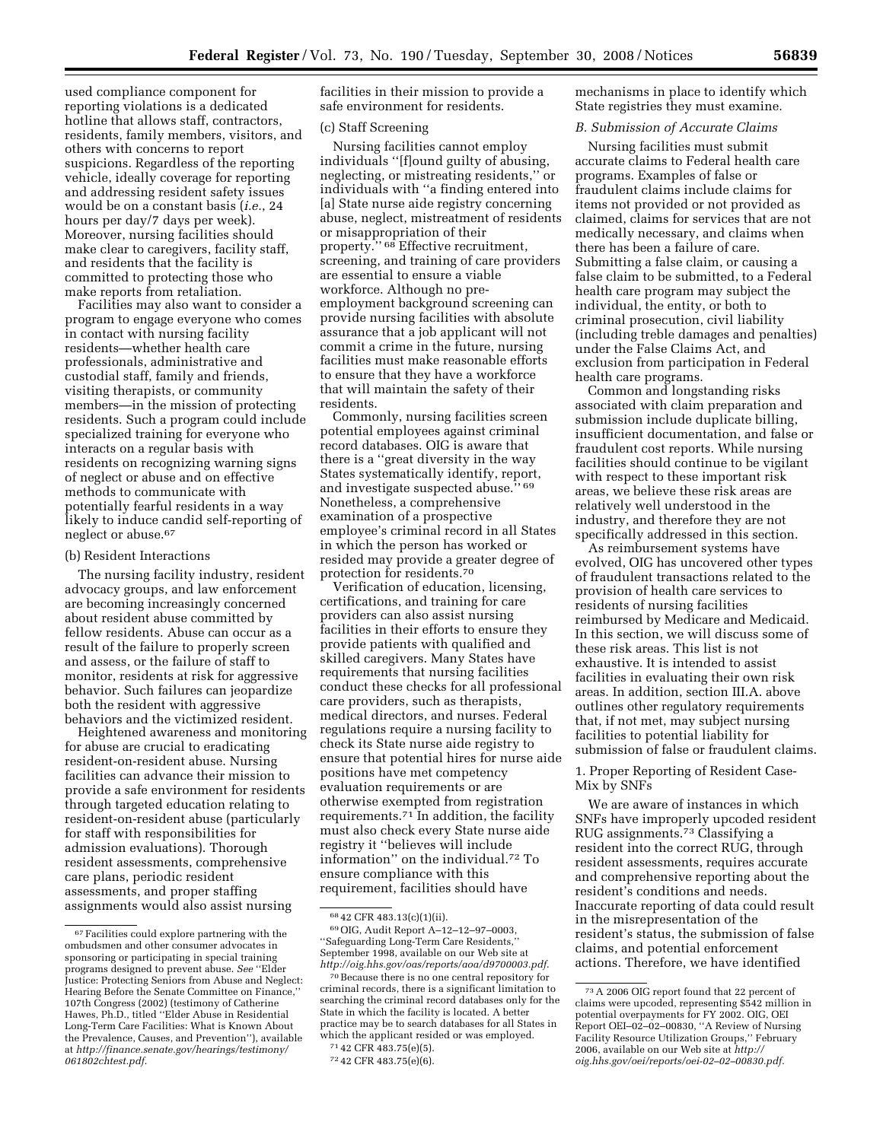used compliance component for reporting violations is a dedicated hotline that allows staff, contractors, residents, family members, visitors, and others with concerns to report suspicions. Regardless of the reporting vehicle, ideally coverage for reporting and addressing resident safety issues would be on a constant basis (*i.e.*, 24 hours per day/7 days per week). Moreover, nursing facilities should make clear to caregivers, facility staff, and residents that the facility is committed to protecting those who make reports from retaliation.

Facilities may also want to consider a program to engage everyone who comes in contact with nursing facility residents—whether health care professionals, administrative and custodial staff, family and friends, visiting therapists, or community members—in the mission of protecting residents. Such a program could include specialized training for everyone who interacts on a regular basis with residents on recognizing warning signs of neglect or abuse and on effective methods to communicate with potentially fearful residents in a way likely to induce candid self-reporting of neglect or abuse.67

#### (b) Resident Interactions

The nursing facility industry, resident advocacy groups, and law enforcement are becoming increasingly concerned about resident abuse committed by fellow residents. Abuse can occur as a result of the failure to properly screen and assess, or the failure of staff to monitor, residents at risk for aggressive behavior. Such failures can jeopardize both the resident with aggressive behaviors and the victimized resident.

Heightened awareness and monitoring for abuse are crucial to eradicating resident-on-resident abuse. Nursing facilities can advance their mission to provide a safe environment for residents through targeted education relating to resident-on-resident abuse (particularly for staff with responsibilities for admission evaluations). Thorough resident assessments, comprehensive care plans, periodic resident assessments, and proper staffing assignments would also assist nursing

facilities in their mission to provide a safe environment for residents.

## (c) Staff Screening

Nursing facilities cannot employ individuals ''[f]ound guilty of abusing, neglecting, or mistreating residents,'' or individuals with ''a finding entered into [a] State nurse aide registry concerning abuse, neglect, mistreatment of residents or misappropriation of their property.'' 68 Effective recruitment, screening, and training of care providers are essential to ensure a viable workforce. Although no preemployment background screening can provide nursing facilities with absolute assurance that a job applicant will not commit a crime in the future, nursing facilities must make reasonable efforts to ensure that they have a workforce that will maintain the safety of their residents.

Commonly, nursing facilities screen potential employees against criminal record databases. OIG is aware that there is a ''great diversity in the way States systematically identify, report, and investigate suspected abuse.'' 69 Nonetheless, a comprehensive examination of a prospective employee's criminal record in all States in which the person has worked or resided may provide a greater degree of protection for residents.70

Verification of education, licensing, certifications, and training for care providers can also assist nursing facilities in their efforts to ensure they provide patients with qualified and skilled caregivers. Many States have requirements that nursing facilities conduct these checks for all professional care providers, such as therapists, medical directors, and nurses. Federal regulations require a nursing facility to check its State nurse aide registry to ensure that potential hires for nurse aide positions have met competency evaluation requirements or are otherwise exempted from registration requirements.71 In addition, the facility must also check every State nurse aide registry it ''believes will include information'' on the individual.72 To ensure compliance with this requirement, facilities should have

mechanisms in place to identify which State registries they must examine.

#### *B. Submission of Accurate Claims*

Nursing facilities must submit accurate claims to Federal health care programs. Examples of false or fraudulent claims include claims for items not provided or not provided as claimed, claims for services that are not medically necessary, and claims when there has been a failure of care. Submitting a false claim, or causing a false claim to be submitted, to a Federal health care program may subject the individual, the entity, or both to criminal prosecution, civil liability (including treble damages and penalties) under the False Claims Act, and exclusion from participation in Federal health care programs.

Common and longstanding risks associated with claim preparation and submission include duplicate billing, insufficient documentation, and false or fraudulent cost reports. While nursing facilities should continue to be vigilant with respect to these important risk areas, we believe these risk areas are relatively well understood in the industry, and therefore they are not specifically addressed in this section.

As reimbursement systems have evolved, OIG has uncovered other types of fraudulent transactions related to the provision of health care services to residents of nursing facilities reimbursed by Medicare and Medicaid. In this section, we will discuss some of these risk areas. This list is not exhaustive. It is intended to assist facilities in evaluating their own risk areas. In addition, section III.A. above outlines other regulatory requirements that, if not met, may subject nursing facilities to potential liability for submission of false or fraudulent claims.

## 1. Proper Reporting of Resident Case-Mix by SNFs

We are aware of instances in which SNFs have improperly upcoded resident RUG assignments.73 Classifying a resident into the correct RUG, through resident assessments, requires accurate and comprehensive reporting about the resident's conditions and needs. Inaccurate reporting of data could result in the misrepresentation of the resident's status, the submission of false claims, and potential enforcement actions. Therefore, we have identified

 $^{67}\rm~~~Facilities could explore partnering with the~~$ ombudsmen and other consumer advocates in sponsoring or participating in special training programs designed to prevent abuse. *See* ''Elder Justice: Protecting Seniors from Abuse and Neglect: Hearing Before the Senate Committee on Finance,'' 107th Congress (2002) (testimony of Catherine Hawes, Ph.D., titled ''Elder Abuse in Residential Long-Term Care Facilities: What is Known About the Prevalence, Causes, and Prevention''), available at *http://finance.senate.gov/hearings/testimony/ 061802chtest.pdf*.

<sup>68</sup> 42 CFR 483.13(c)(1)(ii).

<sup>69</sup>OIG, Audit Report A–12–12–97–0003, ''Safeguarding Long-Term Care Residents,'' September 1998, available on our Web site at *http://oig.hhs.gov/oas/reports/aoa/d9700003.pdf*.

<sup>70</sup>Because there is no one central repository for criminal records, there is a significant limitation to searching the criminal record databases only for the State in which the facility is located. A better practice may be to search databases for all States in which the applicant resided or was employed.

<sup>71</sup> 42 CFR 483.75(e)(5).

<sup>72</sup> 42 CFR 483.75(e)(6).

<sup>73</sup>A 2006 OIG report found that 22 percent of claims were upcoded, representing \$542 million in potential overpayments for FY 2002. OIG, OEI Report OEI–02–02–00830, ''A Review of Nursing Facility Resource Utilization Groups," February 2006, available on our Web site at *http:// oig.hhs.gov/oei/reports/oei-02–02–00830.pdf.*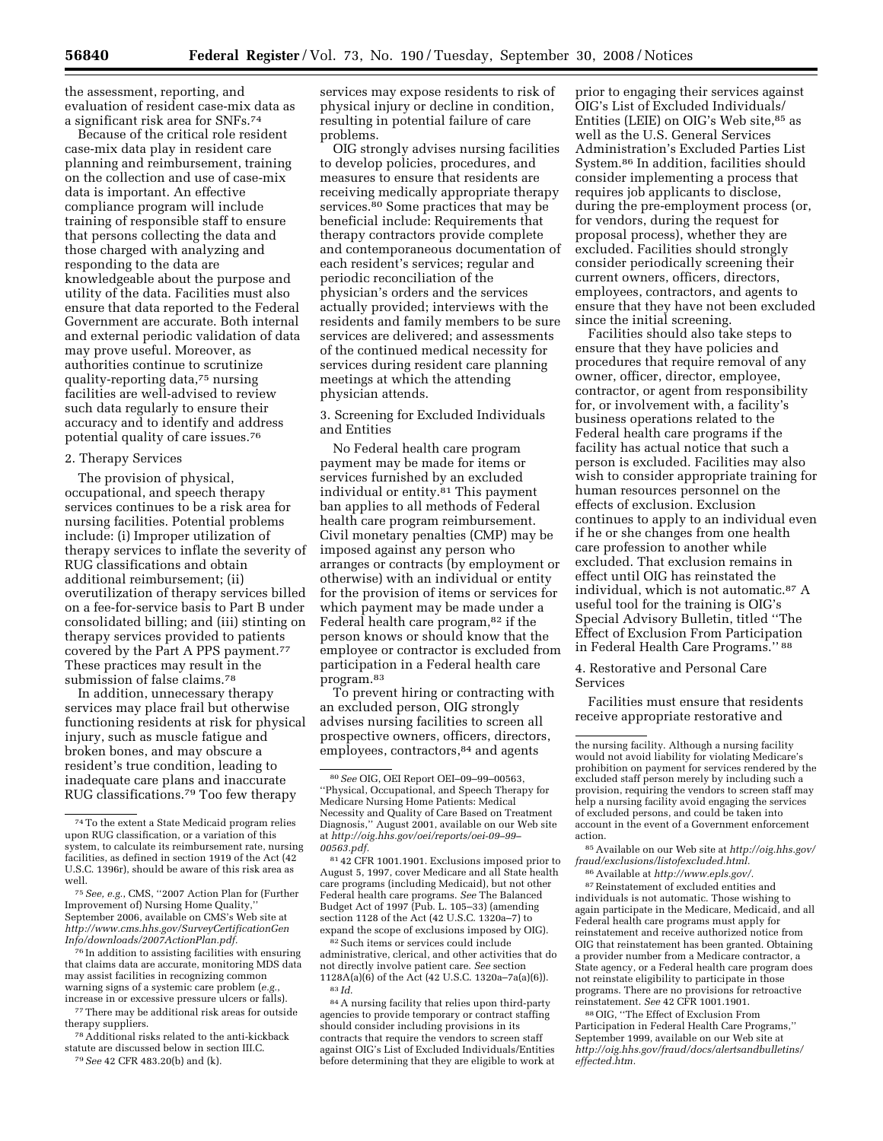the assessment, reporting, and evaluation of resident case-mix data as a significant risk area for SNFs.74

Because of the critical role resident case-mix data play in resident care planning and reimbursement, training on the collection and use of case-mix data is important. An effective compliance program will include training of responsible staff to ensure that persons collecting the data and those charged with analyzing and responding to the data are knowledgeable about the purpose and utility of the data. Facilities must also ensure that data reported to the Federal Government are accurate. Both internal and external periodic validation of data may prove useful. Moreover, as authorities continue to scrutinize quality-reporting data,75 nursing facilities are well-advised to review such data regularly to ensure their accuracy and to identify and address potential quality of care issues.76

## 2. Therapy Services

The provision of physical, occupational, and speech therapy services continues to be a risk area for nursing facilities. Potential problems include: (i) Improper utilization of therapy services to inflate the severity of RUG classifications and obtain additional reimbursement; (ii) overutilization of therapy services billed on a fee-for-service basis to Part B under consolidated billing; and (iii) stinting on therapy services provided to patients covered by the Part A PPS payment.<sup>77</sup> These practices may result in the submission of false claims.78

In addition, unnecessary therapy services may place frail but otherwise functioning residents at risk for physical injury, such as muscle fatigue and broken bones, and may obscure a resident's true condition, leading to inadequate care plans and inaccurate RUG classifications.79 Too few therapy

76 In addition to assisting facilities with ensuring that claims data are accurate, monitoring MDS data may assist facilities in recognizing common warning signs of a systemic care problem (*e.g.*, increase in or excessive pressure ulcers or falls).

77 There may be additional risk areas for outside therapy suppliers.

78Additional risks related to the anti-kickback statute are discussed below in section III.C. 79*See* 42 CFR 483.20(b) and (k).

services may expose residents to risk of physical injury or decline in condition, resulting in potential failure of care problems.

OIG strongly advises nursing facilities to develop policies, procedures, and measures to ensure that residents are receiving medically appropriate therapy services.80 Some practices that may be beneficial include: Requirements that therapy contractors provide complete and contemporaneous documentation of each resident's services; regular and periodic reconciliation of the physician's orders and the services actually provided; interviews with the residents and family members to be sure services are delivered; and assessments of the continued medical necessity for services during resident care planning meetings at which the attending physician attends.

3. Screening for Excluded Individuals and Entities

No Federal health care program payment may be made for items or services furnished by an excluded individual or entity.<sup>81</sup> This payment ban applies to all methods of Federal health care program reimbursement. Civil monetary penalties (CMP) may be imposed against any person who arranges or contracts (by employment or otherwise) with an individual or entity for the provision of items or services for which payment may be made under a Federal health care program, 82 if the person knows or should know that the employee or contractor is excluded from participation in a Federal health care program.83

To prevent hiring or contracting with an excluded person, OIG strongly advises nursing facilities to screen all prospective owners, officers, directors, employees, contractors, 84 and agents

81 42 CFR 1001.1901. Exclusions imposed prior to August 5, 1997, cover Medicare and all State health care programs (including Medicaid), but not other Federal health care programs. *See* The Balanced Budget Act of 1997 (Pub. L. 105–33) (amending section 1128 of the Act (42 U.S.C. 1320a–7) to expand the scope of exclusions imposed by OIG).

82Such items or services could include administrative, clerical, and other activities that do not directly involve patient care. *See* section 1128A(a)(6) of the Act (42 U.S.C. 1320a–7a(a)(6)). 83 *Id.* 

84A nursing facility that relies upon third-party agencies to provide temporary or contract staffing should consider including provisions in its contracts that require the vendors to screen staff against OIG's List of Excluded Individuals/Entities before determining that they are eligible to work at

prior to engaging their services against OIG's List of Excluded Individuals/ Entities (LEIE) on OIG's Web site, 85 as well as the U.S. General Services Administration's Excluded Parties List System.86 In addition, facilities should consider implementing a process that requires job applicants to disclose, during the pre-employment process (or, for vendors, during the request for proposal process), whether they are excluded. Facilities should strongly consider periodically screening their current owners, officers, directors, employees, contractors, and agents to ensure that they have not been excluded since the initial screening.

Facilities should also take steps to ensure that they have policies and procedures that require removal of any owner, officer, director, employee, contractor, or agent from responsibility for, or involvement with, a facility's business operations related to the Federal health care programs if the facility has actual notice that such a person is excluded. Facilities may also wish to consider appropriate training for human resources personnel on the effects of exclusion. Exclusion continues to apply to an individual even if he or she changes from one health care profession to another while excluded. That exclusion remains in effect until OIG has reinstated the individual, which is not automatic.87 A useful tool for the training is OIG's Special Advisory Bulletin, titled ''The Effect of Exclusion From Participation in Federal Health Care Programs.'' 88

4. Restorative and Personal Care Services

Facilities must ensure that residents receive appropriate restorative and

85Available on our Web site at *http://oig.hhs.gov/ fraud/exclusions/listofexcluded.html.* 

86Available at *http://www.epls.gov/.* 

87Reinstatement of excluded entities and individuals is not automatic. Those wishing to again participate in the Medicare, Medicaid, and all Federal health care programs must apply for reinstatement and receive authorized notice from OIG that reinstatement has been granted. Obtaining a provider number from a Medicare contractor, a State agency, or a Federal health care program does not reinstate eligibility to participate in those programs. There are no provisions for retroactive reinstatement. *See* 42 CFR 1001.1901.

88OIG, ''The Effect of Exclusion From Participation in Federal Health Care Programs,'' September 1999, available on our Web site at *http://oig.hhs.gov/fraud/docs/alertsandbulletins/ effected.htm.* 

<sup>74</sup>To the extent a State Medicaid program relies upon RUG classification, or a variation of this system, to calculate its reimbursement rate, nursing facilities, as defined in section 1919 of the Act (42 U.S.C. 1396r), should be aware of this risk area as well.

<sup>75</sup>*See, e.g.*, CMS, ''2007 Action Plan for (Further Improvement of) Nursing Home Quality, September 2006, available on CMS's Web site at *http://www.cms.hhs.gov/SurveyCertificationGen Info/downloads/2007ActionPlan.pdf.* 

<sup>80</sup>*See* OIG, OEI Report OEI–09–99–00563, ''Physical, Occupational, and Speech Therapy for Medicare Nursing Home Patients: Medical Necessity and Quality of Care Based on Treatment Diagnosis,'' August 2001, available on our Web site at *http://oig.hhs.gov/oei/reports/oei-09–99– 00563.pdf.* 

the nursing facility. Although a nursing facility would not avoid liability for violating Medicare's prohibition on payment for services rendered by the excluded staff person merely by including such a provision, requiring the vendors to screen staff may help a nursing facility avoid engaging the services of excluded persons, and could be taken into account in the event of a Government enforcement action.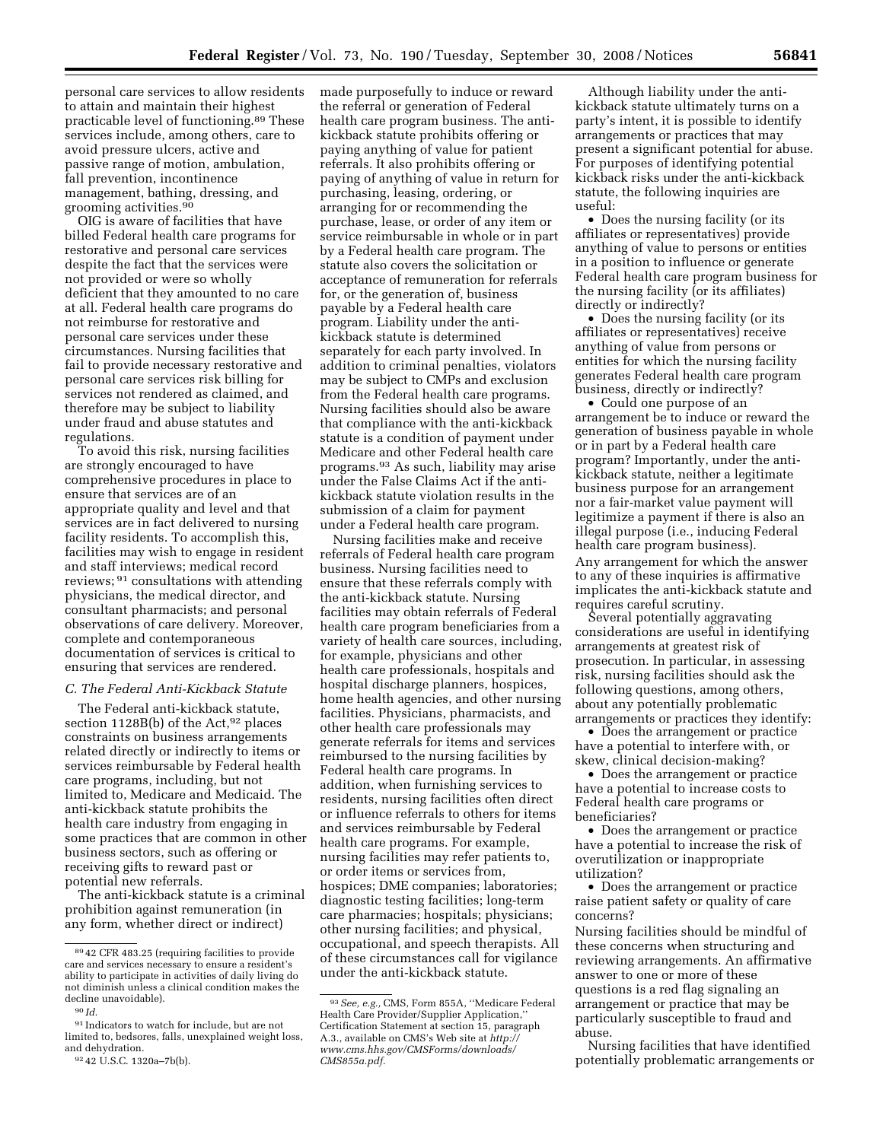personal care services to allow residents to attain and maintain their highest practicable level of functioning.89 These services include, among others, care to avoid pressure ulcers, active and passive range of motion, ambulation, fall prevention, incontinence management, bathing, dressing, and grooming activities.90

OIG is aware of facilities that have billed Federal health care programs for restorative and personal care services despite the fact that the services were not provided or were so wholly deficient that they amounted to no care at all. Federal health care programs do not reimburse for restorative and personal care services under these circumstances. Nursing facilities that fail to provide necessary restorative and personal care services risk billing for services not rendered as claimed, and therefore may be subject to liability under fraud and abuse statutes and regulations.

To avoid this risk, nursing facilities are strongly encouraged to have comprehensive procedures in place to ensure that services are of an appropriate quality and level and that services are in fact delivered to nursing facility residents. To accomplish this, facilities may wish to engage in resident and staff interviews; medical record reviews; 91 consultations with attending physicians, the medical director, and consultant pharmacists; and personal observations of care delivery. Moreover, complete and contemporaneous documentation of services is critical to ensuring that services are rendered.

## *C. The Federal Anti-Kickback Statute*

The Federal anti-kickback statute, section  $1128B(b)$  of the Act,  $92$  places constraints on business arrangements related directly or indirectly to items or services reimbursable by Federal health care programs, including, but not limited to, Medicare and Medicaid. The anti-kickback statute prohibits the health care industry from engaging in some practices that are common in other business sectors, such as offering or receiving gifts to reward past or potential new referrals.

The anti-kickback statute is a criminal prohibition against remuneration (in any form, whether direct or indirect)

made purposefully to induce or reward the referral or generation of Federal health care program business. The antikickback statute prohibits offering or paying anything of value for patient referrals. It also prohibits offering or paying of anything of value in return for purchasing, leasing, ordering, or arranging for or recommending the purchase, lease, or order of any item or service reimbursable in whole or in part by a Federal health care program. The statute also covers the solicitation or acceptance of remuneration for referrals for, or the generation of, business payable by a Federal health care program. Liability under the antikickback statute is determined separately for each party involved. In addition to criminal penalties, violators may be subject to CMPs and exclusion from the Federal health care programs. Nursing facilities should also be aware that compliance with the anti-kickback statute is a condition of payment under Medicare and other Federal health care programs.93 As such, liability may arise under the False Claims Act if the antikickback statute violation results in the submission of a claim for payment under a Federal health care program.

Nursing facilities make and receive referrals of Federal health care program business. Nursing facilities need to ensure that these referrals comply with the anti-kickback statute. Nursing facilities may obtain referrals of Federal health care program beneficiaries from a variety of health care sources, including, for example, physicians and other health care professionals, hospitals and hospital discharge planners, hospices, home health agencies, and other nursing facilities. Physicians, pharmacists, and other health care professionals may generate referrals for items and services reimbursed to the nursing facilities by Federal health care programs. In addition, when furnishing services to residents, nursing facilities often direct or influence referrals to others for items and services reimbursable by Federal health care programs. For example, nursing facilities may refer patients to, or order items or services from, hospices; DME companies; laboratories; diagnostic testing facilities; long-term care pharmacies; hospitals; physicians; other nursing facilities; and physical, occupational, and speech therapists. All of these circumstances call for vigilance under the anti-kickback statute.

Although liability under the antikickback statute ultimately turns on a party's intent, it is possible to identify arrangements or practices that may present a significant potential for abuse. For purposes of identifying potential kickback risks under the anti-kickback statute, the following inquiries are useful:

• Does the nursing facility (or its affiliates or representatives) provide anything of value to persons or entities in a position to influence or generate Federal health care program business for the nursing facility (or its affiliates) directly or indirectly?

• Does the nursing facility (or its affiliates or representatives) receive anything of value from persons or entities for which the nursing facility generates Federal health care program business, directly or indirectly?

• Could one purpose of an arrangement be to induce or reward the generation of business payable in whole or in part by a Federal health care program? Importantly, under the antikickback statute, neither a legitimate business purpose for an arrangement nor a fair-market value payment will legitimize a payment if there is also an illegal purpose (i.e., inducing Federal health care program business). Any arrangement for which the answer to any of these inquiries is affirmative implicates the anti-kickback statute and requires careful scrutiny.

Several potentially aggravating considerations are useful in identifying arrangements at greatest risk of prosecution. In particular, in assessing risk, nursing facilities should ask the following questions, among others, about any potentially problematic arrangements or practices they identify:

• Does the arrangement or practice have a potential to interfere with, or skew, clinical decision-making?

• Does the arrangement or practice have a potential to increase costs to Federal health care programs or beneficiaries?

• Does the arrangement or practice have a potential to increase the risk of overutilization or inappropriate utilization?

• Does the arrangement or practice raise patient safety or quality of care concerns?

Nursing facilities should be mindful of these concerns when structuring and reviewing arrangements. An affirmative answer to one or more of these questions is a red flag signaling an arrangement or practice that may be particularly susceptible to fraud and abuse.

Nursing facilities that have identified potentially problematic arrangements or

<sup>89</sup> 42 CFR 483.25 (requiring facilities to provide care and services necessary to ensure a resident's ability to participate in activities of daily living do not diminish unless a clinical condition makes the decline unavoidable).

<sup>90</sup> *Id.* 

<sup>91</sup> Indicators to watch for include, but are not limited to, bedsores, falls, unexplained weight loss, and dehydration.

<sup>92</sup> 42 U.S.C. 1320a–7b(b).

<sup>93</sup>*See, e.g.,* CMS, Form 855A, ''Medicare Federal Health Care Provider/Supplier Application,'' Certification Statement at section 15, paragraph A.3., available on CMS's Web site at *http:// www.cms.hhs.gov/CMSForms/downloads/ CMS855a.pdf.*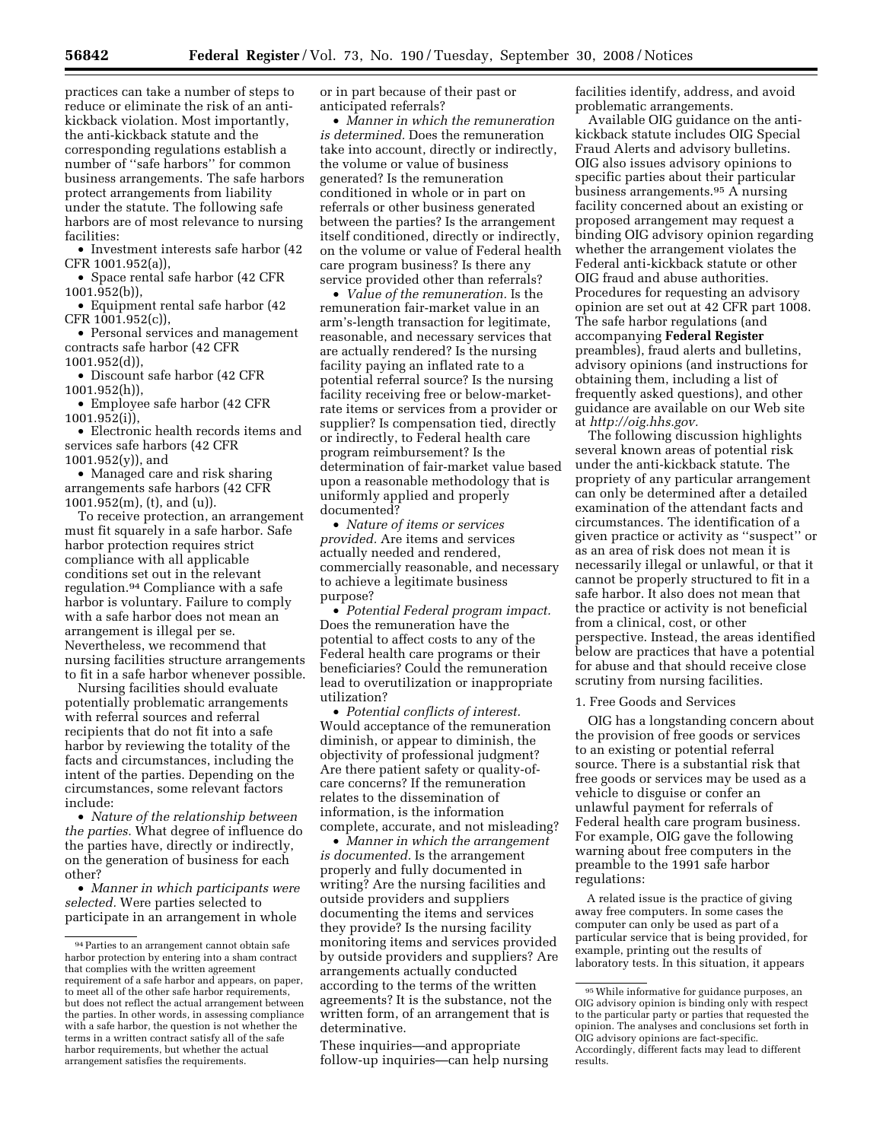practices can take a number of steps to reduce or eliminate the risk of an antikickback violation. Most importantly, the anti-kickback statute and the corresponding regulations establish a number of ''safe harbors'' for common business arrangements. The safe harbors protect arrangements from liability under the statute. The following safe harbors are of most relevance to nursing facilities:

• Investment interests safe harbor (42 CFR 1001.952(a)),

• Space rental safe harbor (42 CFR 1001.952(b)),

• Equipment rental safe harbor (42 CFR 1001.952(c)),

• Personal services and management contracts safe harbor (42 CFR 1001.952(d)),

• Discount safe harbor (42 CFR 1001.952(h)),

• Employee safe harbor (42 CFR 1001.952(i)),

• Electronic health records items and services safe harbors (42 CFR  $1001.952(y)$ , and

• Managed care and risk sharing arrangements safe harbors (42 CFR 1001.952(m), (t), and (u)).

To receive protection, an arrangement must fit squarely in a safe harbor. Safe harbor protection requires strict compliance with all applicable conditions set out in the relevant regulation.94 Compliance with a safe harbor is voluntary. Failure to comply with a safe harbor does not mean an arrangement is illegal per se. Nevertheless, we recommend that nursing facilities structure arrangements to fit in a safe harbor whenever possible.

Nursing facilities should evaluate potentially problematic arrangements with referral sources and referral recipients that do not fit into a safe harbor by reviewing the totality of the facts and circumstances, including the intent of the parties. Depending on the circumstances, some relevant factors include:

• *Nature of the relationship between the parties.* What degree of influence do the parties have, directly or indirectly, on the generation of business for each other?

• *Manner in which participants were selected.* Were parties selected to participate in an arrangement in whole

or in part because of their past or anticipated referrals?

• *Manner in which the remuneration is determined.* Does the remuneration take into account, directly or indirectly, the volume or value of business generated? Is the remuneration conditioned in whole or in part on referrals or other business generated between the parties? Is the arrangement itself conditioned, directly or indirectly, on the volume or value of Federal health care program business? Is there any service provided other than referrals?

• *Value of the remuneration.* Is the remuneration fair-market value in an arm's-length transaction for legitimate, reasonable, and necessary services that are actually rendered? Is the nursing facility paying an inflated rate to a potential referral source? Is the nursing facility receiving free or below-marketrate items or services from a provider or supplier? Is compensation tied, directly or indirectly, to Federal health care program reimbursement? Is the determination of fair-market value based upon a reasonable methodology that is uniformly applied and properly documented?

• *Nature of items or services provided.* Are items and services actually needed and rendered, commercially reasonable, and necessary to achieve a legitimate business purpose?

• *Potential Federal program impact.*  Does the remuneration have the potential to affect costs to any of the Federal health care programs or their beneficiaries? Could the remuneration lead to overutilization or inappropriate utilization?

• *Potential conflicts of interest.*  Would acceptance of the remuneration diminish, or appear to diminish, the objectivity of professional judgment? Are there patient safety or quality-ofcare concerns? If the remuneration relates to the dissemination of information, is the information complete, accurate, and not misleading?

• *Manner in which the arrangement is documented.* Is the arrangement properly and fully documented in writing? Are the nursing facilities and outside providers and suppliers documenting the items and services they provide? Is the nursing facility monitoring items and services provided by outside providers and suppliers? Are arrangements actually conducted according to the terms of the written agreements? It is the substance, not the written form, of an arrangement that is determinative.

These inquiries—and appropriate follow-up inquiries—can help nursing facilities identify, address, and avoid problematic arrangements.

Available OIG guidance on the antikickback statute includes OIG Special Fraud Alerts and advisory bulletins. OIG also issues advisory opinions to specific parties about their particular business arrangements.95 A nursing facility concerned about an existing or proposed arrangement may request a binding OIG advisory opinion regarding whether the arrangement violates the Federal anti-kickback statute or other OIG fraud and abuse authorities. Procedures for requesting an advisory opinion are set out at 42 CFR part 1008. The safe harbor regulations (and accompanying **Federal Register**  preambles), fraud alerts and bulletins, advisory opinions (and instructions for obtaining them, including a list of frequently asked questions), and other guidance are available on our Web site at *http://oig.hhs.gov.* 

The following discussion highlights several known areas of potential risk under the anti-kickback statute. The propriety of any particular arrangement can only be determined after a detailed examination of the attendant facts and circumstances. The identification of a given practice or activity as ''suspect'' or as an area of risk does not mean it is necessarily illegal or unlawful, or that it cannot be properly structured to fit in a safe harbor. It also does not mean that the practice or activity is not beneficial from a clinical, cost, or other perspective. Instead, the areas identified below are practices that have a potential for abuse and that should receive close scrutiny from nursing facilities.

#### 1. Free Goods and Services

OIG has a longstanding concern about the provision of free goods or services to an existing or potential referral source. There is a substantial risk that free goods or services may be used as a vehicle to disguise or confer an unlawful payment for referrals of Federal health care program business. For example, OIG gave the following warning about free computers in the preamble to the 1991 safe harbor regulations:

A related issue is the practice of giving away free computers. In some cases the computer can only be used as part of a particular service that is being provided, for example, printing out the results of laboratory tests. In this situation, it appears

<sup>94</sup>Parties to an arrangement cannot obtain safe harbor protection by entering into a sham contract that complies with the written agreement requirement of a safe harbor and appears, on paper, to meet all of the other safe harbor requirements, but does not reflect the actual arrangement between the parties. In other words, in assessing compliance with a safe harbor, the question is not whether the terms in a written contract satisfy all of the safe harbor requirements, but whether the actual arrangement satisfies the requirements.

<sup>95</sup>While informative for guidance purposes, an OIG advisory opinion is binding only with respect to the particular party or parties that requested the opinion. The analyses and conclusions set forth in OIG advisory opinions are fact-specific. Accordingly, different facts may lead to different results.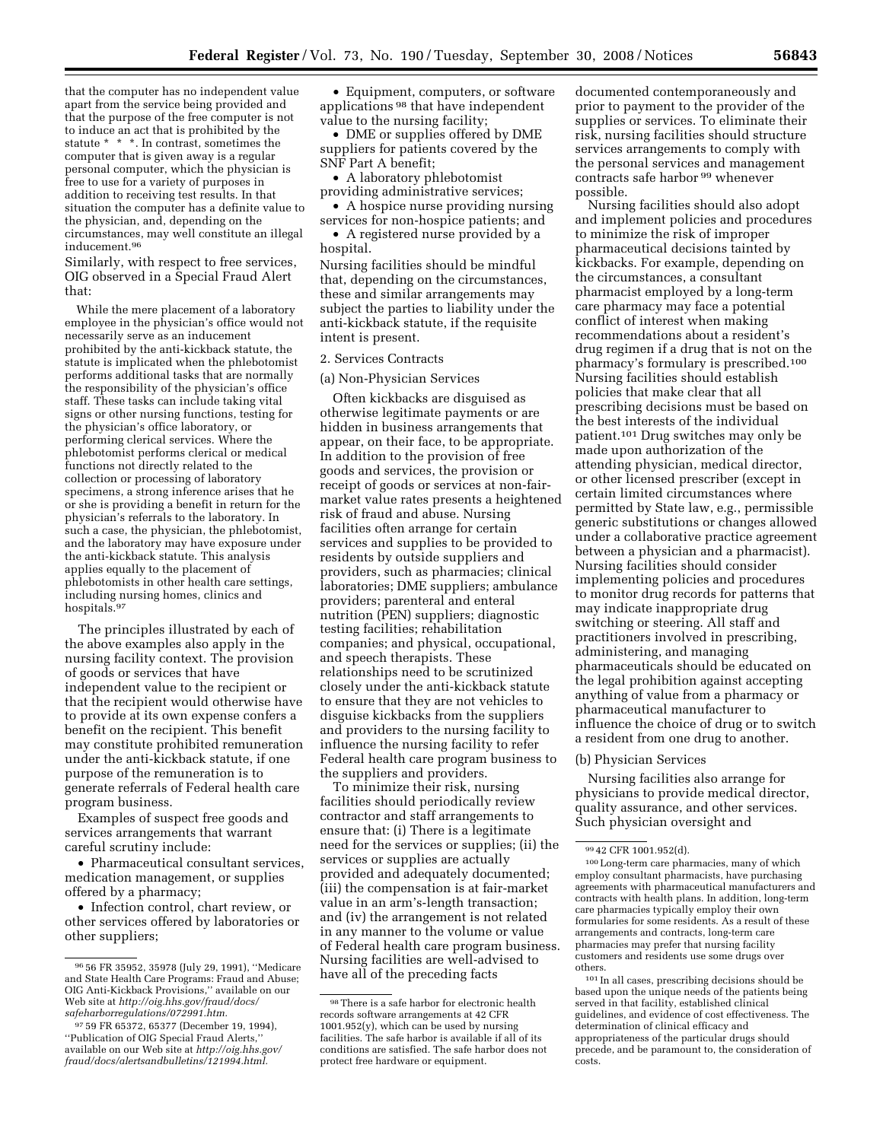that the computer has no independent value apart from the service being provided and that the purpose of the free computer is not to induce an act that is prohibited by the statute \* \* \*. In contrast, sometimes the computer that is given away is a regular personal computer, which the physician is free to use for a variety of purposes in addition to receiving test results. In that situation the computer has a definite value to the physician, and, depending on the circumstances, may well constitute an illegal inducement.96

Similarly, with respect to free services, OIG observed in a Special Fraud Alert that:

While the mere placement of a laboratory employee in the physician's office would not necessarily serve as an inducement prohibited by the anti-kickback statute, the statute is implicated when the phlebotomist performs additional tasks that are normally the responsibility of the physician's office staff. These tasks can include taking vital signs or other nursing functions, testing for the physician's office laboratory, or performing clerical services. Where the phlebotomist performs clerical or medical functions not directly related to the collection or processing of laboratory specimens, a strong inference arises that he or she is providing a benefit in return for the physician's referrals to the laboratory. In such a case, the physician, the phlebotomist, and the laboratory may have exposure under the anti-kickback statute. This analysis applies equally to the placement of phlebotomists in other health care settings, including nursing homes, clinics and hospitals.97

The principles illustrated by each of the above examples also apply in the nursing facility context. The provision of goods or services that have independent value to the recipient or that the recipient would otherwise have to provide at its own expense confers a benefit on the recipient. This benefit may constitute prohibited remuneration under the anti-kickback statute, if one purpose of the remuneration is to generate referrals of Federal health care program business.

Examples of suspect free goods and services arrangements that warrant careful scrutiny include:

• Pharmaceutical consultant services, medication management, or supplies offered by a pharmacy;

• Infection control, chart review, or other services offered by laboratories or other suppliers;

• Equipment, computers, or software applications 98 that have independent value to the nursing facility;

• DME or supplies offered by DME suppliers for patients covered by the SNF Part A benefit;

• A laboratory phlebotomist providing administrative services;

- A hospice nurse providing nursing services for non-hospice patients; and
- A registered nurse provided by a hospital.

Nursing facilities should be mindful that, depending on the circumstances, these and similar arrangements may subject the parties to liability under the anti-kickback statute, if the requisite intent is present.

#### 2. Services Contracts

#### (a) Non-Physician Services

Often kickbacks are disguised as otherwise legitimate payments or are hidden in business arrangements that appear, on their face, to be appropriate. In addition to the provision of free goods and services, the provision or receipt of goods or services at non-fairmarket value rates presents a heightened risk of fraud and abuse. Nursing facilities often arrange for certain services and supplies to be provided to residents by outside suppliers and providers, such as pharmacies; clinical laboratories; DME suppliers; ambulance providers; parenteral and enteral nutrition (PEN) suppliers; diagnostic testing facilities; rehabilitation companies; and physical, occupational, and speech therapists. These relationships need to be scrutinized closely under the anti-kickback statute to ensure that they are not vehicles to disguise kickbacks from the suppliers and providers to the nursing facility to influence the nursing facility to refer Federal health care program business to the suppliers and providers.

To minimize their risk, nursing facilities should periodically review contractor and staff arrangements to ensure that: (i) There is a legitimate need for the services or supplies; (ii) the services or supplies are actually provided and adequately documented; (iii) the compensation is at fair-market value in an arm's-length transaction; and (iv) the arrangement is not related in any manner to the volume or value of Federal health care program business. Nursing facilities are well-advised to have all of the preceding facts

documented contemporaneously and prior to payment to the provider of the supplies or services. To eliminate their risk, nursing facilities should structure services arrangements to comply with the personal services and management contracts safe harbor 99 whenever possible.

Nursing facilities should also adopt and implement policies and procedures to minimize the risk of improper pharmaceutical decisions tainted by kickbacks. For example, depending on the circumstances, a consultant pharmacist employed by a long-term care pharmacy may face a potential conflict of interest when making recommendations about a resident's drug regimen if a drug that is not on the pharmacy's formulary is prescribed.100 Nursing facilities should establish policies that make clear that all prescribing decisions must be based on the best interests of the individual patient.101 Drug switches may only be made upon authorization of the attending physician, medical director, or other licensed prescriber (except in certain limited circumstances where permitted by State law, e.g., permissible generic substitutions or changes allowed under a collaborative practice agreement between a physician and a pharmacist). Nursing facilities should consider implementing policies and procedures to monitor drug records for patterns that may indicate inappropriate drug switching or steering. All staff and practitioners involved in prescribing, administering, and managing pharmaceuticals should be educated on the legal prohibition against accepting anything of value from a pharmacy or pharmaceutical manufacturer to influence the choice of drug or to switch a resident from one drug to another.

#### (b) Physician Services

Nursing facilities also arrange for physicians to provide medical director, quality assurance, and other services. Such physician oversight and

<sup>96</sup> 56 FR 35952, 35978 (July 29, 1991), ''Medicare and State Health Care Programs: Fraud and Abuse; OIG Anti-Kickback Provisions,'' available on our Web site at *http://oig.hhs.gov/fraud/docs/ safeharborregulations/072991.htm.* 

<sup>97</sup> 59 FR 65372, 65377 (December 19, 1994), ''Publication of OIG Special Fraud Alerts,'' available on our Web site at *http://oig.hhs.gov/ fraud/docs/alertsandbulletins/121994.html.* 

<sup>98</sup>There is a safe harbor for electronic health records software arrangements at 42 CFR 1001.952(y), which can be used by nursing facilities. The safe harbor is available if all of its conditions are satisfied. The safe harbor does not protect free hardware or equipment.

<sup>99</sup> 42 CFR 1001.952(d).

<sup>100</sup>Long-term care pharmacies, many of which employ consultant pharmacists, have purchasing agreements with pharmaceutical manufacturers and contracts with health plans. In addition, long-term care pharmacies typically employ their own formularies for some residents. As a result of these arrangements and contracts, long-term care pharmacies may prefer that nursing facility customers and residents use some drugs over others.

<sup>101</sup> In all cases, prescribing decisions should be based upon the unique needs of the patients being served in that facility, established clinical guidelines, and evidence of cost effectiveness. The determination of clinical efficacy and appropriateness of the particular drugs should precede, and be paramount to, the consideration of costs.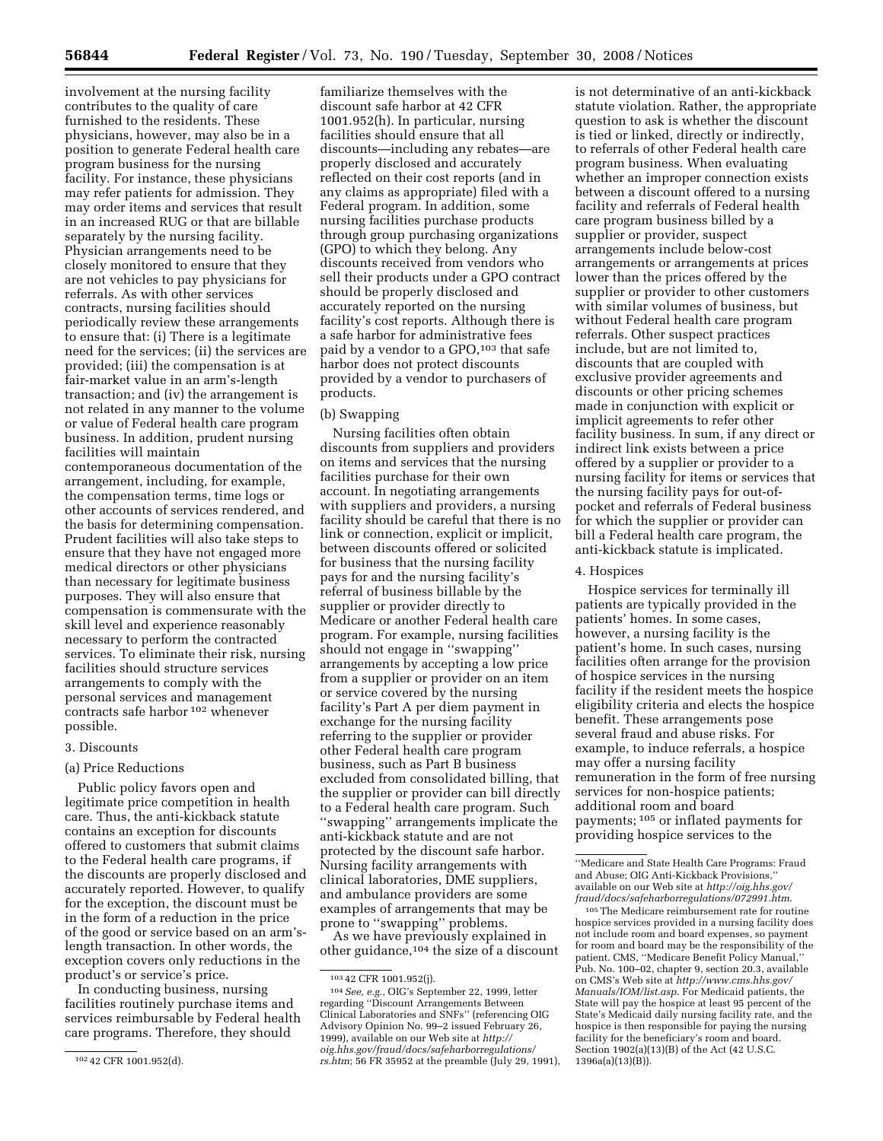involvement at the nursing facility contributes to the quality of care furnished to the residents. These physicians, however, may also be in a position to generate Federal health care program business for the nursing facility. For instance, these physicians may refer patients for admission. They may order items and services that result in an increased RUG or that are billable separately by the nursing facility. Physician arrangements need to be closely monitored to ensure that they are not vehicles to pay physicians for referrals. As with other services contracts, nursing facilities should periodically review these arrangements to ensure that: (i) There is a legitimate need for the services; (ii) the services are provided; (iii) the compensation is at fair-market value in an arm's-length transaction; and (iv) the arrangement is not related in any manner to the volume or value of Federal health care program business. In addition, prudent nursing facilities will maintain contemporaneous documentation of the arrangement, including, for example, the compensation terms, time logs or other accounts of services rendered, and the basis for determining compensation. Prudent facilities will also take steps to ensure that they have not engaged more medical directors or other physicians than necessary for legitimate business purposes. They will also ensure that

compensation is commensurate with the skill level and experience reasonably necessary to perform the contracted services. To eliminate their risk, nursing facilities should structure services arrangements to comply with the personal services and management contracts safe harbor 102 whenever possible.

#### 3. Discounts

### (a) Price Reductions

Public policy favors open and legitimate price competition in health care. Thus, the anti-kickback statute contains an exception for discounts offered to customers that submit claims to the Federal health care programs, if the discounts are properly disclosed and accurately reported. However, to qualify for the exception, the discount must be in the form of a reduction in the price of the good or service based on an arm'slength transaction. In other words, the exception covers only reductions in the product's or service's price.

In conducting business, nursing facilities routinely purchase items and services reimbursable by Federal health care programs. Therefore, they should

familiarize themselves with the discount safe harbor at 42 CFR 1001.952(h). In particular, nursing facilities should ensure that all discounts—including any rebates—are properly disclosed and accurately reflected on their cost reports (and in any claims as appropriate) filed with a Federal program. In addition, some nursing facilities purchase products through group purchasing organizations (GPO) to which they belong. Any discounts received from vendors who sell their products under a GPO contract should be properly disclosed and accurately reported on the nursing facility's cost reports. Although there is a safe harbor for administrative fees paid by a vendor to a GPO,<sup>103</sup> that safe harbor does not protect discounts provided by a vendor to purchasers of products.

#### (b) Swapping

Nursing facilities often obtain discounts from suppliers and providers on items and services that the nursing facilities purchase for their own account. In negotiating arrangements with suppliers and providers, a nursing facility should be careful that there is no link or connection, explicit or implicit, between discounts offered or solicited for business that the nursing facility pays for and the nursing facility's referral of business billable by the supplier or provider directly to Medicare or another Federal health care program. For example, nursing facilities should not engage in ''swapping'' arrangements by accepting a low price from a supplier or provider on an item or service covered by the nursing facility's Part A per diem payment in exchange for the nursing facility referring to the supplier or provider other Federal health care program business, such as Part B business excluded from consolidated billing, that the supplier or provider can bill directly to a Federal health care program. Such ''swapping'' arrangements implicate the anti-kickback statute and are not protected by the discount safe harbor. Nursing facility arrangements with clinical laboratories, DME suppliers, and ambulance providers are some examples of arrangements that may be prone to ''swapping'' problems.

As we have previously explained in other guidance,104 the size of a discount

is not determinative of an anti-kickback statute violation. Rather, the appropriate question to ask is whether the discount is tied or linked, directly or indirectly, to referrals of other Federal health care program business. When evaluating whether an improper connection exists between a discount offered to a nursing facility and referrals of Federal health care program business billed by a supplier or provider, suspect arrangements include below-cost arrangements or arrangements at prices lower than the prices offered by the supplier or provider to other customers with similar volumes of business, but without Federal health care program referrals. Other suspect practices include, but are not limited to, discounts that are coupled with exclusive provider agreements and discounts or other pricing schemes made in conjunction with explicit or implicit agreements to refer other facility business. In sum, if any direct or indirect link exists between a price offered by a supplier or provider to a nursing facility for items or services that the nursing facility pays for out-ofpocket and referrals of Federal business for which the supplier or provider can bill a Federal health care program, the anti-kickback statute is implicated.

### 4. Hospices

Hospice services for terminally ill patients are typically provided in the patients' homes. In some cases, however, a nursing facility is the patient's home. In such cases, nursing facilities often arrange for the provision of hospice services in the nursing facility if the resident meets the hospice eligibility criteria and elects the hospice benefit. These arrangements pose several fraud and abuse risks. For example, to induce referrals, a hospice may offer a nursing facility remuneration in the form of free nursing services for non-hospice patients; additional room and board payments; 105 or inflated payments for providing hospice services to the

105The Medicare reimbursement rate for routine hospice services provided in a nursing facility does not include room and board expenses, so payment for room and board may be the responsibility of the patient. CMS, "Medicare Benefit Policy Manual, Pub. No. 100–02, chapter 9, section 20.3, available on CMS's Web site at *http://www.cms.hhs.gov/ Manuals/IOM/list.asp*. For Medicaid patients, the State will pay the hospice at least 95 percent of the State's Medicaid daily nursing facility rate, and the hospice is then responsible for paying the nursing facility for the beneficiary's room and board. Section 1902(a)(13)(B) of the Act (42 U.S.C. 1396a(a)(13)(B)).

<sup>102</sup> 42 CFR 1001.952(d).

<sup>103</sup> 42 CFR 1001.952(j).

<sup>104</sup>*See, e.g.*, OIG's September 22, 1999, letter regarding ''Discount Arrangements Between Clinical Laboratories and SNFs'' (referencing OIG Advisory Opinion No. 99–2 issued February 26, 1999), available on our Web site at *http:// oig.hhs.gov/fraud/docs/safeharborregulations/ rs.htm*; 56 FR 35952 at the preamble (July 29, 1991),

<sup>&#</sup>x27;'Medicare and State Health Care Programs: Fraud and Abuse; OIG Anti-Kickback Provisions,'' available on our Web site at *http://oig.hhs.gov/ fraud/docs/safeharborregulations/072991.htm*.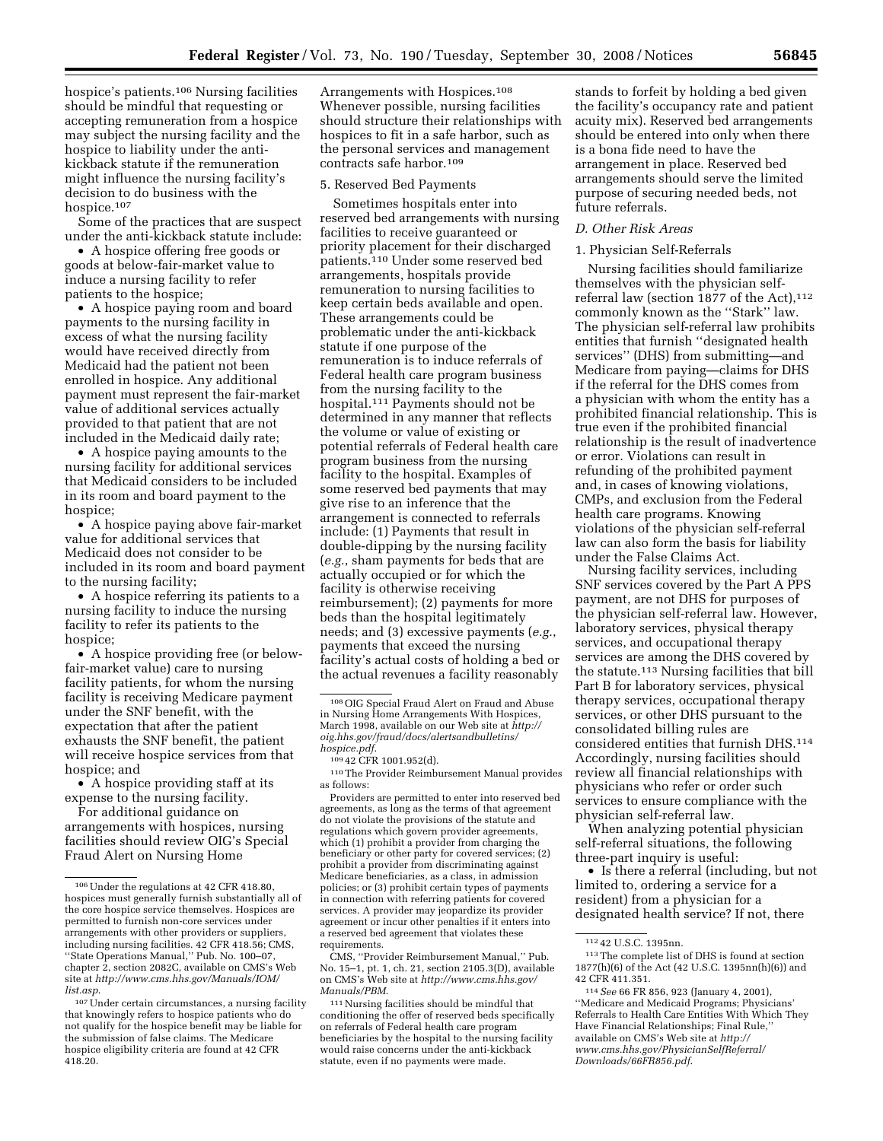hospice's patients.<sup>106</sup> Nursing facilities should be mindful that requesting or accepting remuneration from a hospice may subject the nursing facility and the hospice to liability under the antikickback statute if the remuneration might influence the nursing facility's decision to do business with the hospice.107

Some of the practices that are suspect under the anti-kickback statute include:

• A hospice offering free goods or goods at below-fair-market value to induce a nursing facility to refer patients to the hospice;

• A hospice paying room and board payments to the nursing facility in excess of what the nursing facility would have received directly from Medicaid had the patient not been enrolled in hospice. Any additional payment must represent the fair-market value of additional services actually provided to that patient that are not included in the Medicaid daily rate;

• A hospice paying amounts to the nursing facility for additional services that Medicaid considers to be included in its room and board payment to the hospice;

• A hospice paying above fair-market value for additional services that Medicaid does not consider to be included in its room and board payment to the nursing facility;

• A hospice referring its patients to a nursing facility to induce the nursing facility to refer its patients to the hospice;

• A hospice providing free (or belowfair-market value) care to nursing facility patients, for whom the nursing facility is receiving Medicare payment under the SNF benefit, with the expectation that after the patient exhausts the SNF benefit, the patient will receive hospice services from that hospice; and

• A hospice providing staff at its expense to the nursing facility.

For additional guidance on arrangements with hospices, nursing facilities should review OIG's Special Fraud Alert on Nursing Home

Arrangements with Hospices.108 Whenever possible, nursing facilities should structure their relationships with hospices to fit in a safe harbor, such as the personal services and management contracts safe harbor.109

#### 5. Reserved Bed Payments

Sometimes hospitals enter into reserved bed arrangements with nursing facilities to receive guaranteed or priority placement for their discharged patients.110 Under some reserved bed arrangements, hospitals provide remuneration to nursing facilities to keep certain beds available and open. These arrangements could be problematic under the anti-kickback statute if one purpose of the remuneration is to induce referrals of Federal health care program business from the nursing facility to the hospital.111 Payments should not be determined in any manner that reflects the volume or value of existing or potential referrals of Federal health care program business from the nursing facility to the hospital. Examples of some reserved bed payments that may give rise to an inference that the arrangement is connected to referrals include: (1) Payments that result in double-dipping by the nursing facility (*e.g.*, sham payments for beds that are actually occupied or for which the facility is otherwise receiving reimbursement); (2) payments for more beds than the hospital legitimately needs; and (3) excessive payments (*e.g.*, payments that exceed the nursing facility's actual costs of holding a bed or the actual revenues a facility reasonably

*hospice.pdf*. 109 42 CFR 1001.952(d). 110The Provider Reimbursement Manual provides as follows:

Providers are permitted to enter into reserved bed agreements, as long as the terms of that agreement do not violate the provisions of the statute and regulations which govern provider agreements, which (1) prohibit a provider from charging the beneficiary or other party for covered services; (2) prohibit a provider from discriminating against Medicare beneficiaries, as a class, in admission policies; or (3) prohibit certain types of payments in connection with referring patients for covered services. A provider may jeopardize its provider agreement or incur other penalties if it enters into a reserved bed agreement that violates these requirements.

CMS, ''Provider Reimbursement Manual,'' Pub. No. 15–1, pt. 1, ch. 21, section 2105.3(D), available on CMS's Web site at *http://www.cms.hhs.gov/ Manuals/PBM*.

111Nursing facilities should be mindful that conditioning the offer of reserved beds specifically on referrals of Federal health care program beneficiaries by the hospital to the nursing facility would raise concerns under the anti-kickback statute, even if no payments were made.

stands to forfeit by holding a bed given the facility's occupancy rate and patient acuity mix). Reserved bed arrangements should be entered into only when there is a bona fide need to have the arrangement in place. Reserved bed arrangements should serve the limited purpose of securing needed beds, not future referrals.

## *D. Other Risk Areas*

## 1. Physician Self-Referrals

Nursing facilities should familiarize themselves with the physician selfreferral law (section 1877 of the Act), 112 commonly known as the ''Stark'' law. The physician self-referral law prohibits entities that furnish ''designated health services'' (DHS) from submitting—and Medicare from paying—claims for DHS if the referral for the DHS comes from a physician with whom the entity has a prohibited financial relationship. This is true even if the prohibited financial relationship is the result of inadvertence or error. Violations can result in refunding of the prohibited payment and, in cases of knowing violations, CMPs, and exclusion from the Federal health care programs. Knowing violations of the physician self-referral law can also form the basis for liability under the False Claims Act.

Nursing facility services, including SNF services covered by the Part A PPS payment, are not DHS for purposes of the physician self-referral law. However, laboratory services, physical therapy services, and occupational therapy services are among the DHS covered by the statute.113 Nursing facilities that bill Part B for laboratory services, physical therapy services, occupational therapy services, or other DHS pursuant to the consolidated billing rules are considered entities that furnish DHS.114 Accordingly, nursing facilities should review all financial relationships with physicians who refer or order such services to ensure compliance with the physician self-referral law.

When analyzing potential physician self-referral situations, the following three-part inquiry is useful:

• Is there a referral (including, but not limited to, ordering a service for a resident) from a physician for a designated health service? If not, there

<sup>106</sup>Under the regulations at 42 CFR 418.80, hospices must generally furnish substantially all of the core hospice service themselves. Hospices are permitted to furnish non-core services under arrangements with other providers or suppliers, including nursing facilities. 42 CFR 418.56; CMS, ''State Operations Manual,'' Pub. No. 100–07, chapter 2, section 2082C, available on CMS's Web site at *http://www.cms.hhs.gov/Manuals/IOM/ list.asp*.

<sup>107</sup>Under certain circumstances, a nursing facility that knowingly refers to hospice patients who do not qualify for the hospice benefit may be liable for the submission of false claims. The Medicare hospice eligibility criteria are found at 42 CFR 418.20.

<sup>108</sup>OIG Special Fraud Alert on Fraud and Abuse in Nursing Home Arrangements With Hospices, March 1998, available on our Web site at *http:// oig.hhs.gov/fraud/docs/alertsandbulletins/* 

<sup>112</sup> 42 U.S.C. 1395nn.

<sup>113</sup>The complete list of DHS is found at section 1877(h)(6) of the Act (42 U.S.C. 1395nn(h)(6)) and 42 CFR 411.351.

<sup>114</sup>*See* 66 FR 856, 923 (January 4, 2001), ''Medicare and Medicaid Programs; Physicians' Referrals to Health Care Entities With Which They Have Financial Relationships; Final Rule,'' available on CMS's Web site at *http:// www.cms.hhs.gov/PhysicianSelfReferral/ Downloads/66FR856.pdf*.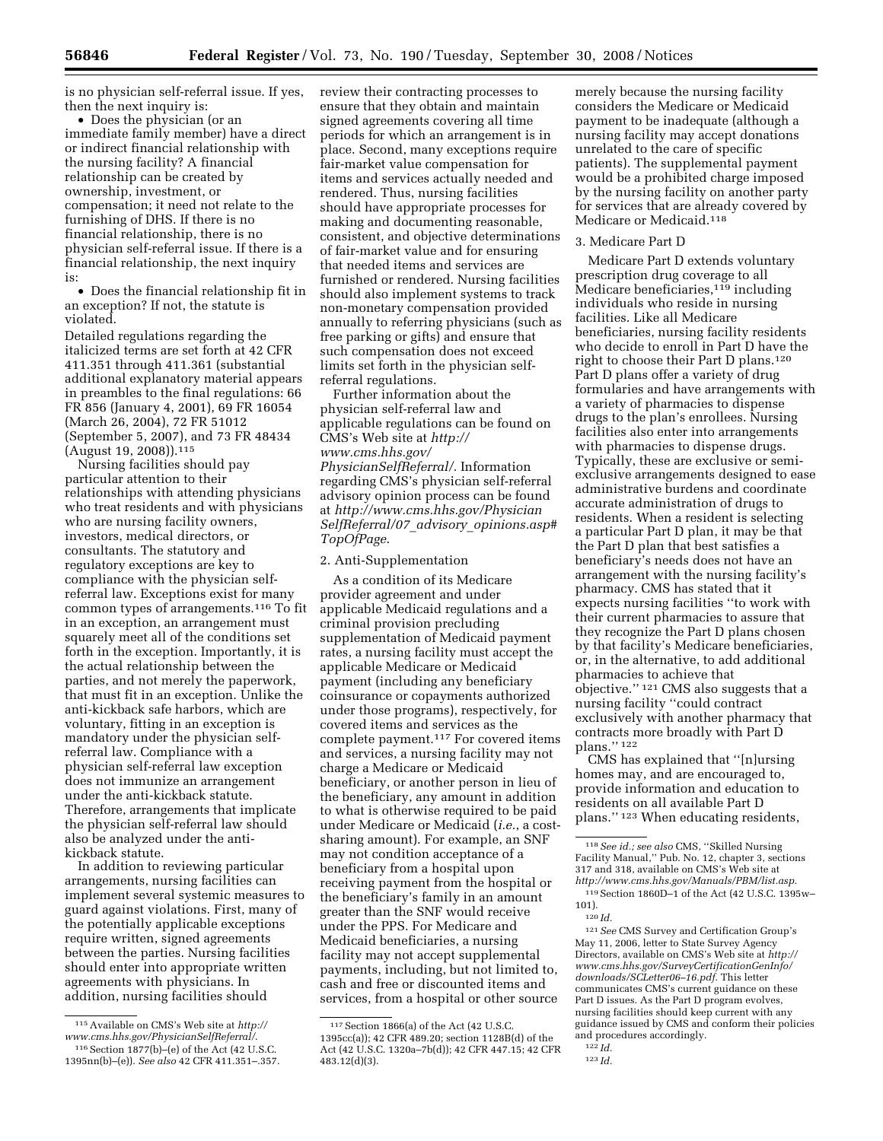is no physician self-referral issue. If yes, then the next inquiry is:

• Does the physician (or an immediate family member) have a direct or indirect financial relationship with the nursing facility? A financial relationship can be created by ownership, investment, or compensation; it need not relate to the furnishing of DHS. If there is no financial relationship, there is no physician self-referral issue. If there is a financial relationship, the next inquiry is:

• Does the financial relationship fit in an exception? If not, the statute is violated.

Detailed regulations regarding the italicized terms are set forth at 42 CFR 411.351 through 411.361 (substantial additional explanatory material appears in preambles to the final regulations: 66 FR 856 (January 4, 2001), 69 FR 16054 (March 26, 2004), 72 FR 51012 (September 5, 2007), and 73 FR 48434 (August 19, 2008)).115

Nursing facilities should pay particular attention to their relationships with attending physicians who treat residents and with physicians who are nursing facility owners, investors, medical directors, or consultants. The statutory and regulatory exceptions are key to compliance with the physician selfreferral law. Exceptions exist for many common types of arrangements.116 To fit in an exception, an arrangement must squarely meet all of the conditions set forth in the exception. Importantly, it is the actual relationship between the parties, and not merely the paperwork, that must fit in an exception. Unlike the anti-kickback safe harbors, which are voluntary, fitting in an exception is mandatory under the physician selfreferral law. Compliance with a physician self-referral law exception does not immunize an arrangement under the anti-kickback statute. Therefore, arrangements that implicate the physician self-referral law should also be analyzed under the antikickback statute.

In addition to reviewing particular arrangements, nursing facilities can implement several systemic measures to guard against violations. First, many of the potentially applicable exceptions require written, signed agreements between the parties. Nursing facilities should enter into appropriate written agreements with physicians. In addition, nursing facilities should

review their contracting processes to ensure that they obtain and maintain signed agreements covering all time periods for which an arrangement is in place. Second, many exceptions require fair-market value compensation for items and services actually needed and rendered. Thus, nursing facilities should have appropriate processes for making and documenting reasonable, consistent, and objective determinations of fair-market value and for ensuring that needed items and services are furnished or rendered. Nursing facilities should also implement systems to track non-monetary compensation provided annually to referring physicians (such as free parking or gifts) and ensure that such compensation does not exceed limits set forth in the physician selfreferral regulations.

Further information about the physician self-referral law and applicable regulations can be found on CMS's Web site at *http:// www.cms.hhs.gov/ PhysicianSelfReferral/.* Information regarding CMS's physician self-referral advisory opinion process can be found at *http://www.cms.hhs.gov/Physician SelfReferral/07*\_*advisory*\_*opinions.asp# TopOfPage*.

## 2. Anti-Supplementation

As a condition of its Medicare provider agreement and under applicable Medicaid regulations and a criminal provision precluding supplementation of Medicaid payment rates, a nursing facility must accept the applicable Medicare or Medicaid payment (including any beneficiary coinsurance or copayments authorized under those programs), respectively, for covered items and services as the complete payment.117 For covered items and services, a nursing facility may not charge a Medicare or Medicaid beneficiary, or another person in lieu of the beneficiary, any amount in addition to what is otherwise required to be paid under Medicare or Medicaid (*i.e.*, a costsharing amount). For example, an SNF may not condition acceptance of a beneficiary from a hospital upon receiving payment from the hospital or the beneficiary's family in an amount greater than the SNF would receive under the PPS. For Medicare and Medicaid beneficiaries, a nursing facility may not accept supplemental payments, including, but not limited to, cash and free or discounted items and services, from a hospital or other source

merely because the nursing facility considers the Medicare or Medicaid payment to be inadequate (although a nursing facility may accept donations unrelated to the care of specific patients). The supplemental payment would be a prohibited charge imposed by the nursing facility on another party for services that are already covered by Medicare or Medicaid.118

#### 3. Medicare Part D

Medicare Part D extends voluntary prescription drug coverage to all Medicare beneficiaries,<sup>119</sup> including individuals who reside in nursing facilities. Like all Medicare beneficiaries, nursing facility residents who decide to enroll in Part D have the right to choose their Part D plans.120 Part D plans offer a variety of drug formularies and have arrangements with a variety of pharmacies to dispense drugs to the plan's enrollees. Nursing facilities also enter into arrangements with pharmacies to dispense drugs. Typically, these are exclusive or semiexclusive arrangements designed to ease administrative burdens and coordinate accurate administration of drugs to residents. When a resident is selecting a particular Part D plan, it may be that the Part D plan that best satisfies a beneficiary's needs does not have an arrangement with the nursing facility's pharmacy. CMS has stated that it expects nursing facilities ''to work with their current pharmacies to assure that they recognize the Part D plans chosen by that facility's Medicare beneficiaries, or, in the alternative, to add additional pharmacies to achieve that objective.'' 121 CMS also suggests that a nursing facility ''could contract exclusively with another pharmacy that contracts more broadly with Part D plans.'' 122

CMS has explained that ''[n]ursing homes may, and are encouraged to, provide information and education to residents on all available Part D plans.'' 123 When educating residents,

121*See* CMS Survey and Certification Group's May 11, 2006, letter to State Survey Agency Directors, available on CMS's Web site at *http:// www.cms.hhs.gov/SurveyCertificationGenInfo/ downloads/SCLetter06–16.pdf.* This letter communicates CMS's current guidance on these Part D issues. As the Part D program evolves, nursing facilities should keep current with any guidance issued by CMS and conform their policies and procedures accordingly.

<sup>115</sup>Available on CMS's Web site at *http:// www.cms.hhs.gov/PhysicianSelfReferral/*. 116Section 1877(b)–(e) of the Act (42 U.S.C.

<sup>1395</sup>nn(b)–(e)). *See also* 42 CFR 411.351–.357.

<sup>117</sup>Section 1866(a) of the Act (42 U.S.C. 1395cc(a)); 42 CFR 489.20; section 1128B(d) of the Act (42 U.S.C. 1320a–7b(d)); 42 CFR 447.15; 42 CFR 483.12(d)(3).

<sup>118</sup>*See id.; see also* CMS, ''Skilled Nursing Facility Manual,'' Pub. No. 12, chapter 3, sections 317 and 318, available on CMS's Web site at *http://www.cms.hhs.gov/Manuals/PBM/list.asp.*  119Section 1860D–1 of the Act (42 U.S.C. 1395w–

<sup>101).</sup>  120 *Id.* 

<sup>122</sup> *Id.* 

<sup>123</sup> *Id.*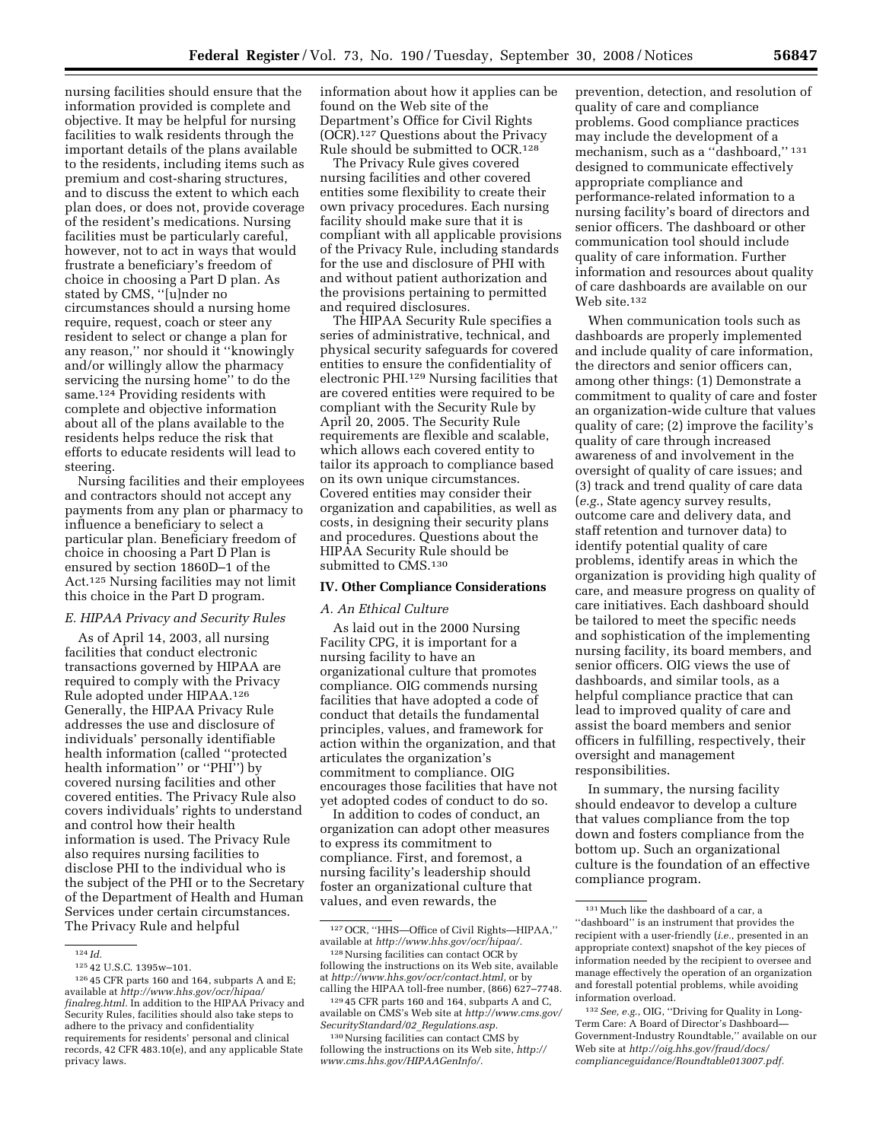nursing facilities should ensure that the information provided is complete and objective. It may be helpful for nursing facilities to walk residents through the important details of the plans available to the residents, including items such as premium and cost-sharing structures, and to discuss the extent to which each plan does, or does not, provide coverage of the resident's medications. Nursing facilities must be particularly careful, however, not to act in ways that would frustrate a beneficiary's freedom of choice in choosing a Part D plan. As stated by CMS, ''[u]nder no circumstances should a nursing home require, request, coach or steer any resident to select or change a plan for any reason,'' nor should it ''knowingly and/or willingly allow the pharmacy servicing the nursing home'' to do the same.124 Providing residents with complete and objective information about all of the plans available to the residents helps reduce the risk that efforts to educate residents will lead to steering.

Nursing facilities and their employees and contractors should not accept any payments from any plan or pharmacy to influence a beneficiary to select a particular plan. Beneficiary freedom of choice in choosing a Part D Plan is ensured by section 1860D–1 of the Act.125 Nursing facilities may not limit this choice in the Part D program.

#### *E. HIPAA Privacy and Security Rules*

As of April 14, 2003, all nursing facilities that conduct electronic transactions governed by HIPAA are required to comply with the Privacy Rule adopted under HIPAA.126 Generally, the HIPAA Privacy Rule addresses the use and disclosure of individuals' personally identifiable health information (called ''protected health information'' or ''PHI'') by covered nursing facilities and other covered entities. The Privacy Rule also covers individuals' rights to understand and control how their health information is used. The Privacy Rule also requires nursing facilities to disclose PHI to the individual who is the subject of the PHI or to the Secretary of the Department of Health and Human Services under certain circumstances. The Privacy Rule and helpful

information about how it applies can be found on the Web site of the Department's Office for Civil Rights (OCR).127 Questions about the Privacy Rule should be submitted to OCR.128

The Privacy Rule gives covered nursing facilities and other covered entities some flexibility to create their own privacy procedures. Each nursing facility should make sure that it is compliant with all applicable provisions of the Privacy Rule, including standards for the use and disclosure of PHI with and without patient authorization and the provisions pertaining to permitted and required disclosures.

The HIPAA Security Rule specifies a series of administrative, technical, and physical security safeguards for covered entities to ensure the confidentiality of electronic PHI.129 Nursing facilities that are covered entities were required to be compliant with the Security Rule by April 20, 2005. The Security Rule requirements are flexible and scalable, which allows each covered entity to tailor its approach to compliance based on its own unique circumstances. Covered entities may consider their organization and capabilities, as well as costs, in designing their security plans and procedures. Questions about the HIPAA Security Rule should be submitted to CMS.130

#### **IV. Other Compliance Considerations**

### *A. An Ethical Culture*

As laid out in the 2000 Nursing Facility CPG, it is important for a nursing facility to have an organizational culture that promotes compliance. OIG commends nursing facilities that have adopted a code of conduct that details the fundamental principles, values, and framework for action within the organization, and that articulates the organization's commitment to compliance. OIG encourages those facilities that have not yet adopted codes of conduct to do so.

In addition to codes of conduct, an organization can adopt other measures to express its commitment to compliance. First, and foremost, a nursing facility's leadership should foster an organizational culture that values, and even rewards, the

prevention, detection, and resolution of quality of care and compliance problems. Good compliance practices may include the development of a mechanism, such as a ''dashboard,'' 131 designed to communicate effectively appropriate compliance and performance-related information to a nursing facility's board of directors and senior officers. The dashboard or other communication tool should include quality of care information. Further information and resources about quality of care dashboards are available on our Web site.132

When communication tools such as dashboards are properly implemented and include quality of care information, the directors and senior officers can, among other things: (1) Demonstrate a commitment to quality of care and foster an organization-wide culture that values quality of care; (2) improve the facility's quality of care through increased awareness of and involvement in the oversight of quality of care issues; and (3) track and trend quality of care data (*e.g.*, State agency survey results, outcome care and delivery data, and staff retention and turnover data) to identify potential quality of care problems, identify areas in which the organization is providing high quality of care, and measure progress on quality of care initiatives. Each dashboard should be tailored to meet the specific needs and sophistication of the implementing nursing facility, its board members, and senior officers. OIG views the use of dashboards, and similar tools, as a helpful compliance practice that can lead to improved quality of care and assist the board members and senior officers in fulfilling, respectively, their oversight and management responsibilities.

In summary, the nursing facility should endeavor to develop a culture that values compliance from the top down and fosters compliance from the bottom up. Such an organizational culture is the foundation of an effective compliance program.

<sup>124</sup> *Id.* 

<sup>125</sup> 42 U.S.C. 1395w–101.

<sup>126</sup> 45 CFR parts 160 and 164, subparts A and E; available at *http://www.hhs.gov/ocr/hipaa/ finalreg.html.* In addition to the HIPAA Privacy and Security Rules, facilities should also take steps to adhere to the privacy and confidentiality requirements for residents' personal and clinical records, 42 CFR 483.10(e), and any applicable State privacy laws.

<sup>127</sup>OCR, ''HHS—Office of Civil Rights—HIPAA,'' available at *http://www.hhs.gov/ocr/hipaa/.* 

<sup>128</sup>Nursing facilities can contact OCR by following the instructions on its Web site, available at *http://www.hhs.gov/ocr/contact.html*, or by calling the HIPAA toll-free number, (866) 627–7748.

<sup>129</sup> 45 CFR parts 160 and 164, subparts A and C, available on CMS's Web site at *http://www.cms.gov/ SecurityStandard/02*\_*Regulations.asp.* 

<sup>130</sup>Nursing facilities can contact CMS by following the instructions on its Web site, *http:// www.cms.hhs.gov/HIPAAGenInfo/.* 

<sup>131</sup>Much like the dashboard of a car, a ''dashboard'' is an instrument that provides the recipient with a user-friendly (*i.e.*, presented in an appropriate context) snapshot of the key pieces of information needed by the recipient to oversee and manage effectively the operation of an organization and forestall potential problems, while avoiding information overload.

<sup>132</sup>*See, e.g.*, OIG, ''Driving for Quality in Long-Term Care: A Board of Director's Dashboard— Government-Industry Roundtable,'' available on our Web site at *http://oig.hhs.gov/fraud/docs/ complianceguidance/Roundtable013007.pdf.*